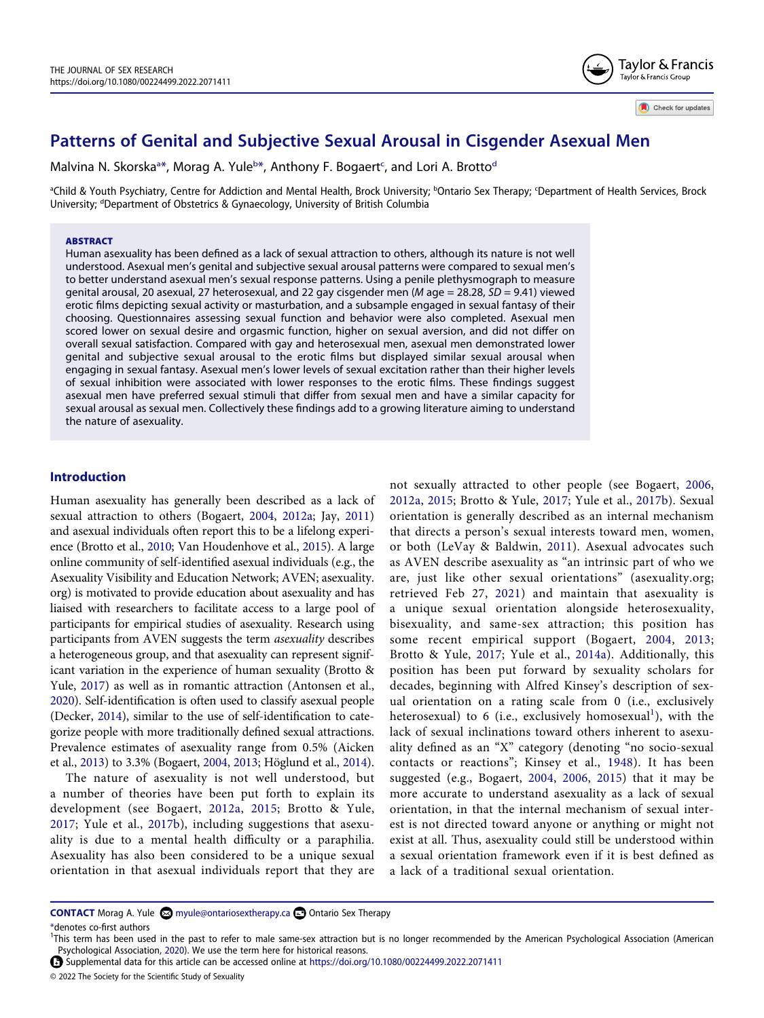

Check for updates

# **Patterns of Genital and Subjective Sexual Arousal in Cisgender Asexual Men**

M[a](#page-0-0)lvina N. Skorska<sup>a</sup>[\\*](#page-0-1), Morag A. Yule<sup>[b](#page-0-0)\*</sup>, Anthony F. Bogaert<sup>[c](#page-0-0)</sup>, an[d](#page-0-2) Lori A. Brotto<sup>d</sup>

<span id="page-0-2"></span><span id="page-0-0"></span><sup>a</sup>Child & Youth Psychiatry, Centre for Addiction and Mental Health, Brock University; <sup>b</sup>Ontario Sex Therapy; <sup>c</sup>Department of Health Services, Brock University; <sup>d</sup>Department of Obstetrics & Gynaecology, University of British Columbia

#### **ABSTRACT**

Human asexuality has been defined as a lack of sexual attraction to others, although its nature is not well understood. Asexual men's genital and subjective sexual arousal patterns were compared to sexual men's to better understand asexual men's sexual response patterns. Using a penile plethysmograph to measure genital arousal, 20 asexual, 27 heterosexual, and 22 gay cisgender men (*M* age = 28.28, *SD* = 9.41) viewed erotic films depicting sexual activity or masturbation, and a subsample engaged in sexual fantasy of their choosing. Questionnaires assessing sexual function and behavior were also completed. Asexual men scored lower on sexual desire and orgasmic function, higher on sexual aversion, and did not differ on overall sexual satisfaction. Compared with gay and heterosexual men, asexual men demonstrated lower genital and subjective sexual arousal to the erotic films but displayed similar sexual arousal when engaging in sexual fantasy. Asexual men's lower levels of sexual excitation rather than their higher levels of sexual inhibition were associated with lower responses to the erotic films. These findings suggest asexual men have preferred sexual stimuli that differ from sexual men and have a similar capacity for sexual arousal as sexual men. Collectively these findings add to a growing literature aiming to understand the nature of asexuality.

## **Introduction**

<span id="page-0-13"></span><span id="page-0-10"></span>Human asexuality has generally been described as a lack of sexual attraction to others (Bogaert, [2004](#page-15-0), [2012a](#page-15-1); Jay, [2011\)](#page-16-0) and asexual individuals often report this to be a lifelong experience (Brotto et al., [2010](#page-16-1); Van Houdenhove et al., [2015](#page-17-0)). A large online community of self-identified asexual individuals (e.g., the Asexuality Visibility and Education Network; AVEN; asexuality. org) is motivated to provide education about asexuality and has liaised with researchers to facilitate access to a large pool of participants for empirical studies of asexuality. Research using participants from AVEN suggests the term *asexuality* describes a heterogeneous group, and that asexuality can represent significant variation in the experience of human sexuality (Brotto & Yule, [2017\)](#page-16-2) as well as in romantic attraction (Antonsen et al., [2020\)](#page-15-2). Self-identification is often used to classify asexual people (Decker, [2014\)](#page-16-3), similar to the use of self-identification to categorize people with more traditionally defined sexual attractions. Prevalence estimates of asexuality range from 0.5% (Aicken et al., [2013](#page-15-3)) to 3.3% (Bogaert, [2004,](#page-15-0) [2013](#page-15-4); Höglund et al., [2014](#page-16-4)).

<span id="page-0-12"></span><span id="page-0-6"></span><span id="page-0-4"></span>The nature of asexuality is not well understood, but a number of theories have been put forth to explain its development (see Bogaert, [2012a](#page-15-1), [2015](#page-15-5); Brotto & Yule, [2017;](#page-16-2) Yule et al., [2017b\)](#page-17-1), including suggestions that asexuality is due to a mental health difficulty or a paraphilia. Asexuality has also been considered to be a unique sexual orientation in that asexual individuals report that they are <span id="page-0-16"></span><span id="page-0-15"></span><span id="page-0-14"></span><span id="page-0-11"></span><span id="page-0-9"></span><span id="page-0-8"></span><span id="page-0-7"></span>not sexually attracted to other people (see Bogaert, [2006,](#page-15-6) [2012a](#page-15-1), [2015](#page-15-5); Brotto & Yule, [2017;](#page-16-2) Yule et al., [2017b\)](#page-17-1). Sexual orientation is generally described as an internal mechanism that directs a person's sexual interests toward men, women, or both (LeVay & Baldwin, [2011](#page-16-5)). Asexual advocates such as AVEN describe asexuality as "an intrinsic part of who we are, just like other sexual orientations" (asexuality.org; retrieved Feb 27, [2021](#page-15-7)) and maintain that asexuality is a unique sexual orientation alongside heterosexuality, bisexuality, and same-sex attraction; this position has some recent empirical support (Bogaert, [2004](#page-15-0), [2013;](#page-15-4) Brotto & Yule, [2017](#page-16-2); Yule et al., [2014a\)](#page-17-2). Additionally, this position has been put forward by sexuality scholars for decades, beginning with Alfred Kinsey's description of sexual orientation on a rating scale from 0 (i.e., exclusively heterosexual) to 6 (i.e., exclusively homosexual<sup>[1](#page-0-3)</sup>), with the lack of sexual inclinations toward others inherent to asexuality defined as an "X" category (denoting "no socio-sexual contacts or reactions"; Kinsey et al., [1948](#page-16-6)). It has been suggested (e.g., Bogaert, [2004](#page-15-0), [2006](#page-15-6), [2015\)](#page-15-5) that it may be more accurate to understand asexuality as a lack of sexual orientation, in that the internal mechanism of sexual interest is not directed toward anyone or anything or might not exist at all. Thus, asexuality could still be understood within a sexual orientation framework even if it is best defined as a lack of a traditional sexual orientation.

<span id="page-0-1"></span>\*denotes co-first authors

© 2022 The Society for the Scientific Study of Sexuality

**CONTACT** Morag A. Yule **M** myule@ontariosextherapy.ca Dontario Sex Therapy

<span id="page-0-5"></span><span id="page-0-3"></span><sup>&</sup>lt;sup>1</sup>This term has been used in the past to refer to male same-sex attraction but is no longer recommended by the American Psychological Association (American Psychological Association, [2020](#page-15-8)). We use the term here for historical reasons.

Supplemental data for this article can be accessed online at <https://doi.org/10.1080/00224499.2022.2071411>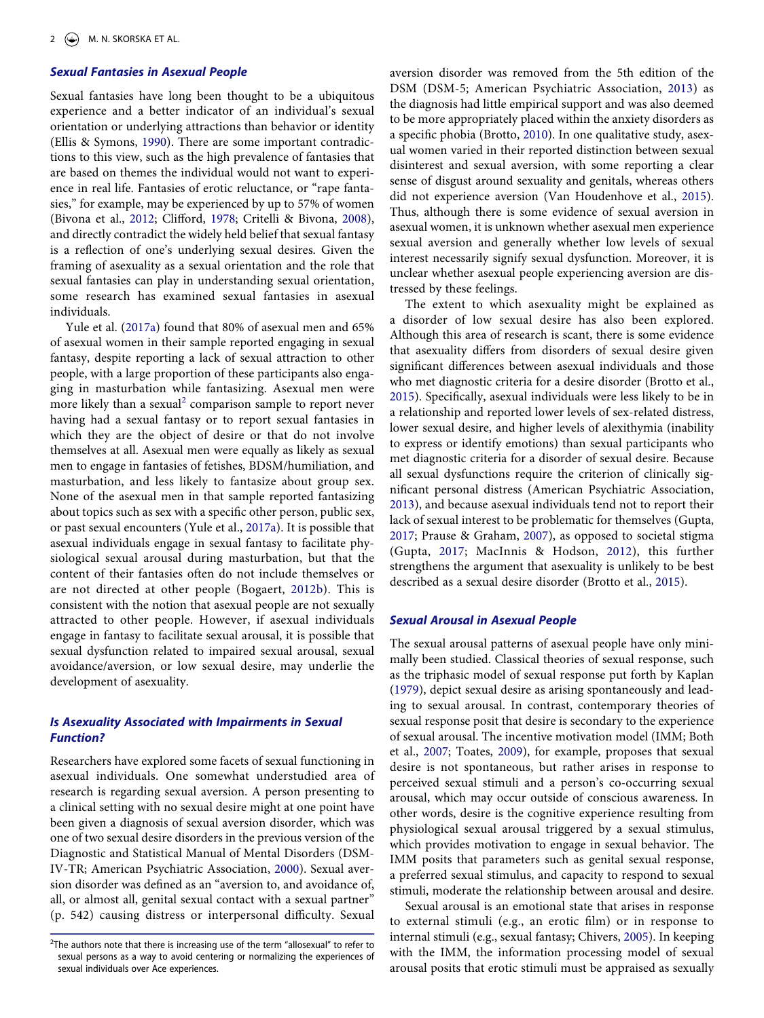# *Sexual Fantasies in Asexual People*

<span id="page-1-9"></span>Sexual fantasies have long been thought to be a ubiquitous experience and a better indicator of an individual's sexual orientation or underlying attractions than behavior or identity (Ellis & Symons, [1990](#page-16-7)). There are some important contradictions to this view, such as the high prevalence of fantasies that are based on themes the individual would not want to experience in real life. Fantasies of erotic reluctance, or "rape fantasies," for example, may be experienced by up to 57% of women (Bivona et al., [2012;](#page-15-9) Clifford, [1978;](#page-16-8) Critelli & Bivona, [2008](#page-16-9)), and directly contradict the widely held belief that sexual fantasy is a reflection of one's underlying sexual desires. Given the framing of asexuality as a sexual orientation and the role that sexual fantasies can play in understanding sexual orientation, some research has examined sexual fantasies in asexual individuals.

<span id="page-1-13"></span><span id="page-1-3"></span>Yule et al. ([2017a](#page-17-3)) found that 80% of asexual men and 65% of asexual women in their sample reported engaging in sexual fantasy, despite reporting a lack of sexual attraction to other people, with a large proportion of these participants also engaging in masturbation while fantasizing. Asexual men were more likely than a sexual<sup>2</sup> comparison sample to report never having had a sexual fantasy or to report sexual fantasies in which they are the object of desire or that do not involve themselves at all. Asexual men were equally as likely as sexual men to engage in fantasies of fetishes, BDSM/humiliation, and masturbation, and less likely to fantasize about group sex. None of the asexual men in that sample reported fantasizing about topics such as sex with a specific other person, public sex, or past sexual encounters (Yule et al., [2017a\)](#page-17-3). It is possible that asexual individuals engage in sexual fantasy to facilitate physiological sexual arousal during masturbation, but that the content of their fantasies often do not include themselves or are not directed at other people (Bogaert, [2012b](#page-15-10)). This is consistent with the notion that asexual people are not sexually attracted to other people. However, if asexual individuals engage in fantasy to facilitate sexual arousal, it is possible that sexual dysfunction related to impaired sexual arousal, sexual avoidance/aversion, or low sexual desire, may underlie the development of asexuality.

# <span id="page-1-4"></span>*Is Asexuality Associated with Impairments in Sexual Function?*

Researchers have explored some facets of sexual functioning in asexual individuals. One somewhat understudied area of research is regarding sexual aversion. A person presenting to a clinical setting with no sexual desire might at one point have been given a diagnosis of sexual aversion disorder, which was one of two sexual desire disorders in the previous version of the Diagnostic and Statistical Manual of Mental Disorders (DSM-IV-TR; American Psychiatric Association, [2000\)](#page-15-11). Sexual aversion disorder was defined as an "aversion to, and avoidance of, all, or almost all, genital sexual contact with a sexual partner" (p. 542) causing distress or interpersonal difficulty. Sexual

<span id="page-1-6"></span>aversion disorder was removed from the 5th edition of the DSM (DSM-5; American Psychiatric Association, [2013\)](#page-15-12) as the diagnosis had little empirical support and was also deemed to be more appropriately placed within the anxiety disorders as a specific phobia (Brotto, [2010\)](#page-16-10). In one qualitative study, asexual women varied in their reported distinction between sexual disinterest and sexual aversion, with some reporting a clear sense of disgust around sexuality and genitals, whereas others did not experience aversion (Van Houdenhove et al., [2015](#page-17-0)). Thus, although there is some evidence of sexual aversion in asexual women, it is unknown whether asexual men experience sexual aversion and generally whether low levels of sexual interest necessarily signify sexual dysfunction. Moreover, it is unclear whether asexual people experiencing aversion are distressed by these feelings.

The extent to which asexuality might be explained as a disorder of low sexual desire has also been explored. Although this area of research is scant, there is some evidence that asexuality differs from disorders of sexual desire given significant differences between asexual individuals and those who met diagnostic criteria for a desire disorder (Brotto et al., [2015](#page-16-11)). Specifically, asexual individuals were less likely to be in a relationship and reported lower levels of sex-related distress, lower sexual desire, and higher levels of alexithymia (inability to express or identify emotions) than sexual participants who met diagnostic criteria for a disorder of sexual desire. Because all sexual dysfunctions require the criterion of clinically significant personal distress (American Psychiatric Association, [2013](#page-15-12)), and because asexual individuals tend not to report their lack of sexual interest to be problematic for themselves (Gupta, [2017](#page-16-12); Prause & Graham, [2007](#page-16-13)), as opposed to societal stigma (Gupta, [2017](#page-16-12); MacInnis & Hodson, [2012\)](#page-16-14), this further strengthens the argument that asexuality is unlikely to be best described as a sexual desire disorder (Brotto et al., [2015\)](#page-16-11).

# <span id="page-1-12"></span><span id="page-1-10"></span><span id="page-1-7"></span><span id="page-1-2"></span>*Sexual Arousal in Asexual People*

<span id="page-1-11"></span><span id="page-1-5"></span>The sexual arousal patterns of asexual people have only minimally been studied. Classical theories of sexual response, such as the triphasic model of sexual response put forth by Kaplan [\(1979\)](#page-16-15), depict sexual desire as arising spontaneously and leading to sexual arousal. In contrast, contemporary theories of sexual response posit that desire is secondary to the experience of sexual arousal. The incentive motivation model (IMM; Both et al., [2007](#page-16-16); Toates, [2009](#page-17-4)), for example, proposes that sexual desire is not spontaneous, but rather arises in response to perceived sexual stimuli and a person's co-occurring sexual arousal, which may occur outside of conscious awareness. In other words, desire is the cognitive experience resulting from physiological sexual arousal triggered by a sexual stimulus, which provides motivation to engage in sexual behavior. The IMM posits that parameters such as genital sexual response, a preferred sexual stimulus, and capacity to respond to sexual stimuli, moderate the relationship between arousal and desire.

<span id="page-1-8"></span>Sexual arousal is an emotional state that arises in response to external stimuli (e.g., an erotic film) or in response to internal stimuli (e.g., sexual fantasy; Chivers, [2005](#page-16-17)). In keeping with the IMM, the information processing model of sexual arousal posits that erotic stimuli must be appraised as sexually

<span id="page-1-1"></span><span id="page-1-0"></span> $2$ The authors note that there is increasing use of the term "allosexual" to refer to sexual persons as a way to avoid centering or normalizing the experiences of sexual individuals over Ace experiences.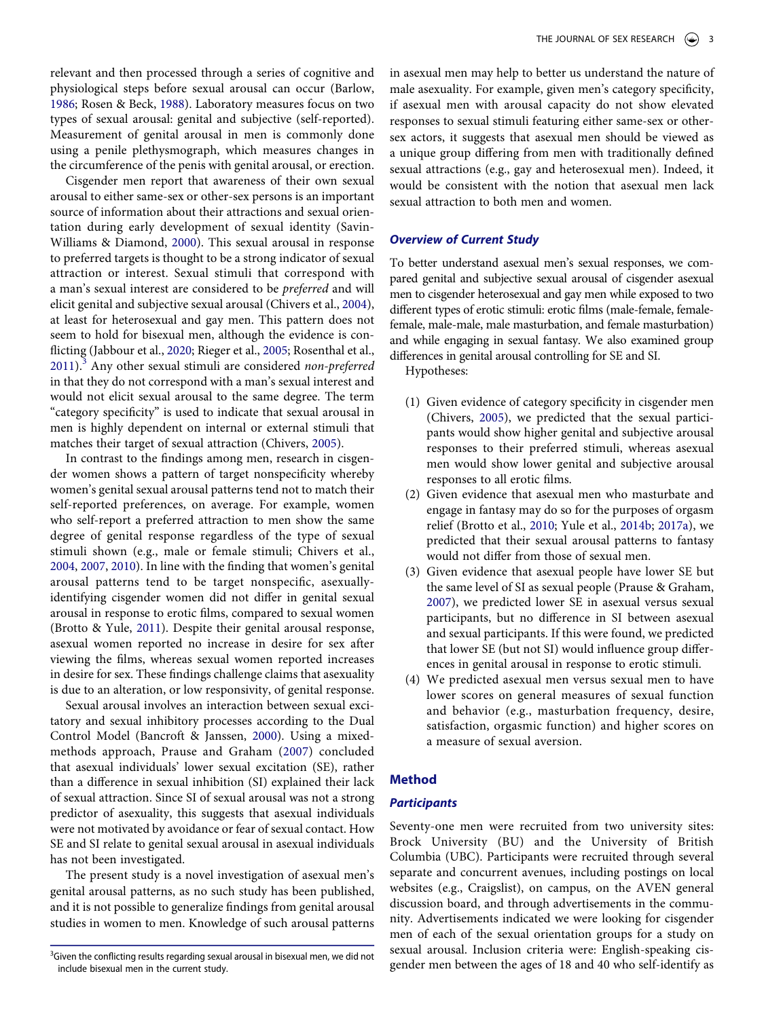<span id="page-2-7"></span><span id="page-2-2"></span>relevant and then processed through a series of cognitive and physiological steps before sexual arousal can occur (Barlow, [1986](#page-15-13); Rosen & Beck, [1988](#page-16-18)). Laboratory measures focus on two types of sexual arousal: genital and subjective (self-reported). Measurement of genital arousal in men is commonly done using a penile plethysmograph, which measures changes in the circumference of the penis with genital arousal, or erection.

<span id="page-2-9"></span>Cisgender men report that awareness of their own sexual arousal to either same-sex or other-sex persons is an important source of information about their attractions and sexual orientation during early development of sexual identity (Savin-Williams & Diamond, [2000\)](#page-16-19). This sexual arousal in response to preferred targets is thought to be a strong indicator of sexual attraction or interest. Sexual stimuli that correspond with a man's sexual interest are considered to be *preferred* and will elicit genital and subjective sexual arousal (Chivers et al., [2004](#page-16-20)), at least for heterosexual and gay men. This pattern does not seem to hold for bisexual men, although the evidence is conflicting (Jabbour et al., [2020](#page-16-21); Rieger et al., [2005;](#page-16-22) Rosenthal et al., [2011](#page-16-23)).[3](#page-2-0) Any other sexual stimuli are considered *non-preferred*  in that they do not correspond with a man's sexual interest and would not elicit sexual arousal to the same degree. The term "category specificity" is used to indicate that sexual arousal in men is highly dependent on internal or external stimuli that matches their target of sexual attraction (Chivers, [2005\)](#page-16-17).

<span id="page-2-8"></span><span id="page-2-6"></span><span id="page-2-5"></span><span id="page-2-4"></span>In contrast to the findings among men, research in cisgender women shows a pattern of target nonspecificity whereby women's genital sexual arousal patterns tend not to match their self-reported preferences, on average. For example, women who self-report a preferred attraction to men show the same degree of genital response regardless of the type of sexual stimuli shown (e.g., male or female stimuli; Chivers et al., [2004](#page-16-20), [2007,](#page-16-24) [2010\)](#page-16-25). In line with the finding that women's genital arousal patterns tend to be target nonspecific, asexuallyidentifying cisgender women did not differ in genital sexual arousal in response to erotic films, compared to sexual women (Brotto & Yule, [2011](#page-16-26)). Despite their genital arousal response, asexual women reported no increase in desire for sex after viewing the films, whereas sexual women reported increases in desire for sex. These findings challenge claims that asexuality is due to an alteration, or low responsivity, of genital response.

<span id="page-2-3"></span><span id="page-2-1"></span>Sexual arousal involves an interaction between sexual excitatory and sexual inhibitory processes according to the Dual Control Model (Bancroft & Janssen, [2000](#page-15-14)). Using a mixedmethods approach, Prause and Graham ([2007\)](#page-16-13) concluded that asexual individuals' lower sexual excitation (SE), rather than a difference in sexual inhibition (SI) explained their lack of sexual attraction. Since SI of sexual arousal was not a strong predictor of asexuality, this suggests that asexual individuals were not motivated by avoidance or fear of sexual contact. How SE and SI relate to genital sexual arousal in asexual individuals has not been investigated.

The present study is a novel investigation of asexual men's genital arousal patterns, as no such study has been published, and it is not possible to generalize findings from genital arousal studies in women to men. Knowledge of such arousal patterns

in asexual men may help to better us understand the nature of male asexuality. For example, given men's category specificity, if asexual men with arousal capacity do not show elevated responses to sexual stimuli featuring either same-sex or othersex actors, it suggests that asexual men should be viewed as a unique group differing from men with traditionally defined sexual attractions (e.g., gay and heterosexual men). Indeed, it would be consistent with the notion that asexual men lack sexual attraction to both men and women.

# *Overview of Current Study*

To better understand asexual men's sexual responses, we compared genital and subjective sexual arousal of cisgender asexual men to cisgender heterosexual and gay men while exposed to two different types of erotic stimuli: erotic films (male-female, femalefemale, male-male, male masturbation, and female masturbation) and while engaging in sexual fantasy. We also examined group differences in genital arousal controlling for SE and SI.

Hypotheses:

- (1) Given evidence of category specificity in cisgender men (Chivers, [2005\)](#page-16-17), we predicted that the sexual participants would show higher genital and subjective arousal responses to their preferred stimuli, whereas asexual men would show lower genital and subjective arousal responses to all erotic films.
- <span id="page-2-10"></span>(2) Given evidence that asexual men who masturbate and engage in fantasy may do so for the purposes of orgasm relief (Brotto et al., [2010](#page-16-1); Yule et al., [2014b](#page-17-5); [2017a](#page-17-3)), we predicted that their sexual arousal patterns to fantasy would not differ from those of sexual men.
- (3) Given evidence that asexual people have lower SE but the same level of SI as sexual people (Prause & Graham, [2007\)](#page-16-13), we predicted lower SE in asexual versus sexual participants, but no difference in SI between asexual and sexual participants. If this were found, we predicted that lower SE (but not SI) would influence group differences in genital arousal in response to erotic stimuli.
- (4) We predicted asexual men versus sexual men to have lower scores on general measures of sexual function and behavior (e.g., masturbation frequency, desire, satisfaction, orgasmic function) and higher scores on a measure of sexual aversion.

# **Method**

### *Participants*

Seventy-one men were recruited from two university sites: Brock University (BU) and the University of British Columbia (UBC). Participants were recruited through several separate and concurrent avenues, including postings on local websites (e.g., Craigslist), on campus, on the AVEN general discussion board, and through advertisements in the community. Advertisements indicated we were looking for cisgender men of each of the sexual orientation groups for a study on sexual arousal. Inclusion criteria were: English-speaking cisgender men between the ages of 18 and 40 who self-identify as

<span id="page-2-0"></span> $3$ Given the conflicting results regarding sexual arousal in bisexual men, we did not include bisexual men in the current study.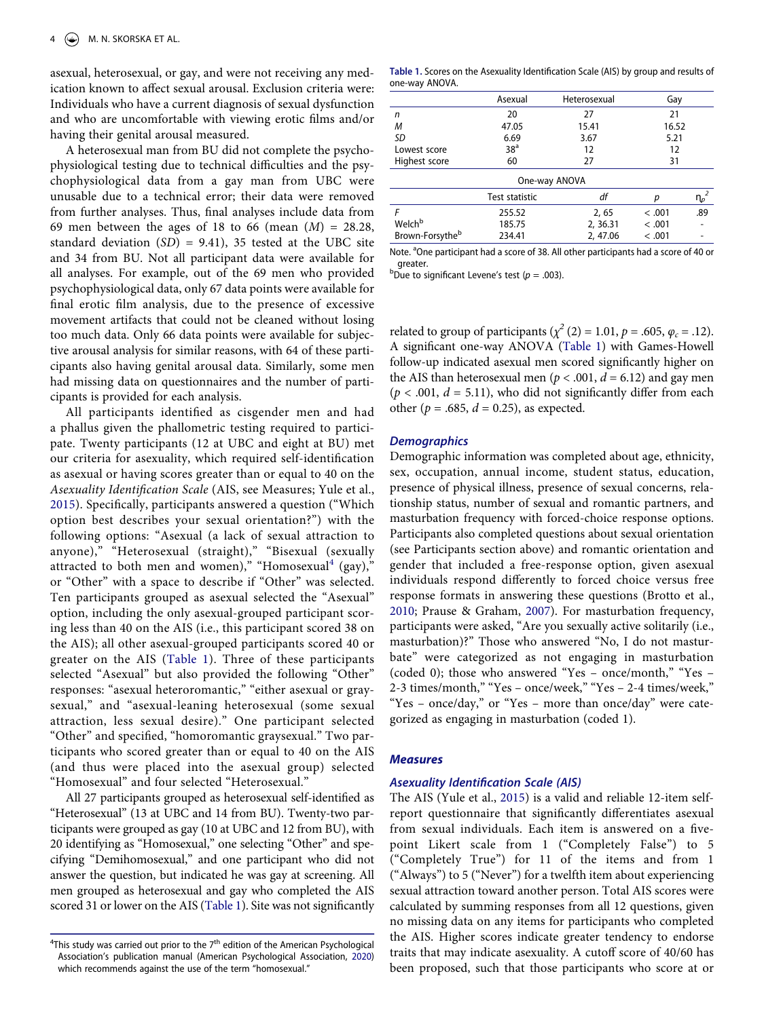asexual, heterosexual, or gay, and were not receiving any medication known to affect sexual arousal. Exclusion criteria were: Individuals who have a current diagnosis of sexual dysfunction and who are uncomfortable with viewing erotic films and/or having their genital arousal measured.

A heterosexual man from BU did not complete the psychophysiological testing due to technical difficulties and the psychophysiological data from a gay man from UBC were unusable due to a technical error; their data were removed from further analyses. Thus, final analyses include data from 69 men between the ages of 18 to 66 (mean (*M*) = 28.28, standard deviation (*SD*) = 9.41), 35 tested at the UBC site and 34 from BU. Not all participant data were available for all analyses. For example, out of the 69 men who provided psychophysiological data, only 67 data points were available for final erotic film analysis, due to the presence of excessive movement artifacts that could not be cleaned without losing too much data. Only 66 data points were available for subjective arousal analysis for similar reasons, with 64 of these participants also having genital arousal data. Similarly, some men had missing data on questionnaires and the number of participants is provided for each analysis.

All participants identified as cisgender men and had a phallus given the phallometric testing required to participate. Twenty participants (12 at UBC and eight at BU) met our criteria for asexuality, which required self-identification as asexual or having scores greater than or equal to 40 on the *Asexuality Identification Scale* (AIS, see Measures; Yule et al., [2015\)](#page-17-6). Specifically, participants answered a question ("Which option best describes your sexual orientation?") with the following options: "Asexual (a lack of sexual attraction to anyone)," "Heterosexual (straight)," "Bisexual (sexually attracted to both men and women)," "Homosexual<sup>4</sup> (gay)," or "Other" with a space to describe if "Other" was selected. Ten participants grouped as asexual selected the "Asexual" option, including the only asexual-grouped participant scoring less than 40 on the AIS (i.e., this participant scored 38 on the AIS); all other asexual-grouped participants scored 40 or greater on the AIS ([Table 1](#page-3-1)). Three of these participants selected "Asexual" but also provided the following "Other" responses: "asexual heteroromantic," "either asexual or graysexual," and "asexual-leaning heterosexual (some sexual attraction, less sexual desire)." One participant selected "Other" and specified, "homoromantic graysexual." Two participants who scored greater than or equal to 40 on the AIS (and thus were placed into the asexual group) selected "Homosexual" and four selected "Heterosexual."

All 27 participants grouped as heterosexual self-identified as "Heterosexual" (13 at UBC and 14 from BU). Twenty-two participants were grouped as gay (10 at UBC and 12 from BU), with 20 identifying as "Homosexual," one selecting "Other" and specifying "Demihomosexual," and one participant who did not answer the question, but indicated he was gay at screening. All men grouped as heterosexual and gay who completed the AIS scored 31 or lower on the AIS [\(Table 1\)](#page-3-1). Site was not significantly

<span id="page-3-1"></span>**Table 1.** Scores on the Asexuality Identification Scale (AIS) by group and results of one-way ANOVA.

|                             | Asexual         | Heterosexual  | Gay     |             |  |  |
|-----------------------------|-----------------|---------------|---------|-------------|--|--|
| n                           | 20              | 27            | 21      |             |  |  |
| M                           | 47.05           | 15.41         | 16.52   |             |  |  |
| SD                          | 6.69            | 3.67          | 5.21    |             |  |  |
| Lowest score                | 38 <sup>a</sup> | 12            | 12      |             |  |  |
| Highest score               | 60              | 27            | 31      |             |  |  |
|                             |                 | One-way ANOVA |         |             |  |  |
|                             | Test statistic  | df            |         | $n_{p}^{2}$ |  |  |
| F                           | 255.52          | 2, 65         | < .001  | .89         |  |  |
| Welch <sup>b</sup>          | 185.75          | 2, 36.31      | < .001  |             |  |  |
| Brown-Forsythe <sup>b</sup> | 234.41          | 2, 47.06      | < 0.001 |             |  |  |

Note. <sup>a</sup>One participant had a score of 38. All other participants had a score of 40 or

greater.<br><sup>b</sup>Due to significant Levene's test (*p* = .003).

related to group of participants ( $\chi^2$  (2) = 1.01, *p* = .605, *φ<sub>c</sub>* = .12). A significant one-way ANOVA [\(Table 1\)](#page-3-1) with Games-Howell follow-up indicated asexual men scored significantly higher on the AIS than heterosexual men ( $p < .001$ ,  $d = 6.12$ ) and gay men  $(p < .001, d = 5.11)$ , who did not significantly differ from each other ( $p = .685$ ,  $d = 0.25$ ), as expected.

#### *Demographics*

Demographic information was completed about age, ethnicity, sex, occupation, annual income, student status, education, presence of physical illness, presence of sexual concerns, relationship status, number of sexual and romantic partners, and masturbation frequency with forced-choice response options. Participants also completed questions about sexual orientation (see Participants section above) and romantic orientation and gender that included a free-response option, given asexual individuals respond differently to forced choice versus free response formats in answering these questions (Brotto et al., [2010](#page-16-1); Prause & Graham, [2007\)](#page-16-13). For masturbation frequency, participants were asked, "Are you sexually active solitarily (i.e., masturbation)?" Those who answered "No, I do not masturbate" were categorized as not engaging in masturbation (coded 0); those who answered "Yes – once/month," "Yes – 2-3 times/month," "Yes – once/week," "Yes – 2-4 times/week," "Yes – once/day," or "Yes – more than once/day" were categorized as engaging in masturbation (coded 1).

#### *Measures*

#### *Asexuality Identification Scale (AIS)*

<span id="page-3-2"></span>The AIS (Yule et al., [2015](#page-17-6)) is a valid and reliable 12-item selfreport questionnaire that significantly differentiates asexual from sexual individuals. Each item is answered on a fivepoint Likert scale from 1 ("Completely False") to 5 ("Completely True") for 11 of the items and from 1 ("Always") to 5 ("Never") for a twelfth item about experiencing sexual attraction toward another person. Total AIS scores were calculated by summing responses from all 12 questions, given no missing data on any items for participants who completed the AIS. Higher scores indicate greater tendency to endorse traits that may indicate asexuality. A cutoff score of 40/60 has been proposed, such that those participants who score at or

<span id="page-3-0"></span><sup>&</sup>lt;sup>4</sup>This study was carried out prior to the 7<sup>th</sup> edition of the American Psychological Association's publication manual (American Psychological Association, [2020\)](#page-15-8) which recommends against the use of the term "homosexual."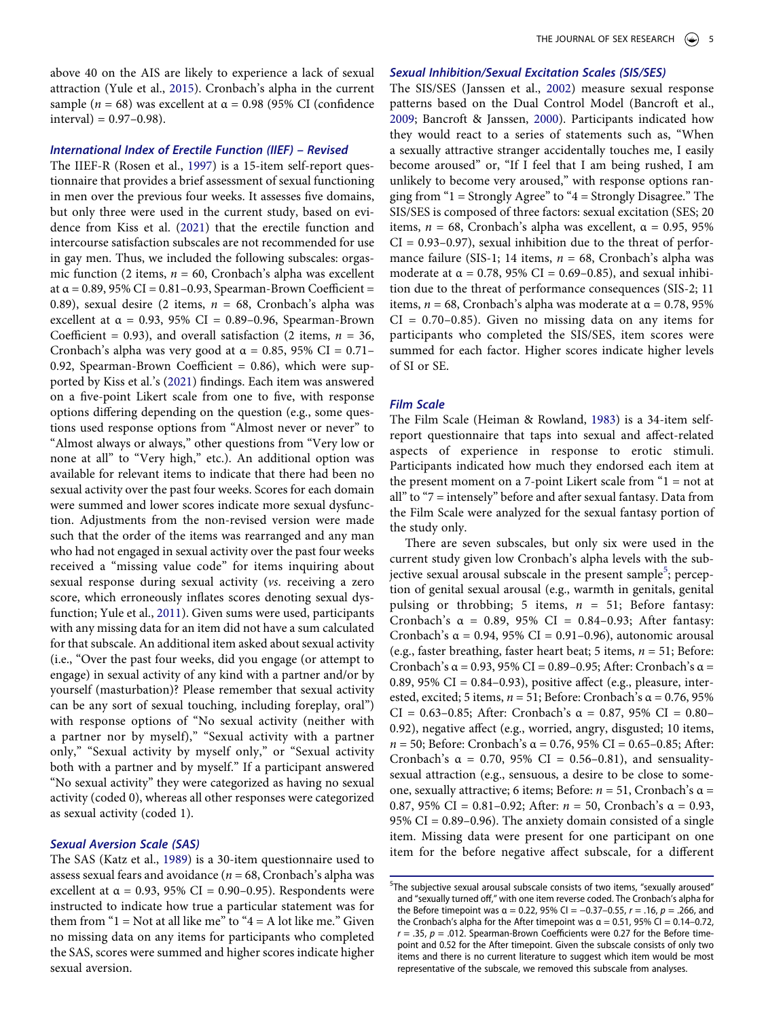above 40 on the AIS are likely to experience a lack of sexual attraction (Yule et al., [2015\)](#page-17-6). Cronbach's alpha in the current sample ( $n = 68$ ) was excellent at  $\alpha = 0.98$  (95% CI (confidence  $interval = 0.97 - 0.98$ .

#### *International Index of Erectile Function (IIEF) – Revised*

<span id="page-4-6"></span><span id="page-4-5"></span>The IIEF-R (Rosen et al., [1997](#page-16-27)) is a 15-item self-report questionnaire that provides a brief assessment of sexual functioning in men over the previous four weeks. It assesses five domains, but only three were used in the current study, based on evidence from Kiss et al. [\(2021\)](#page-16-28) that the erectile function and intercourse satisfaction subscales are not recommended for use in gay men. Thus, we included the following subscales: orgasmic function (2 items, *n* = 60, Cronbach's alpha was excellent at  $\alpha$  = 0.89, 95% CI = 0.81-0.93, Spearman-Brown Coefficient = 0.89), sexual desire (2 items, *n* = 68, Cronbach's alpha was excellent at  $\alpha$  = 0.93, 95% CI = 0.89-0.96, Spearman-Brown Coefficient =  $(0.93)$ , and overall satisfaction  $(2 \text{ items}, n = 36)$ , Cronbach's alpha was very good at  $\alpha = 0.85$ , 95% CI = 0.71– 0.92, Spearman-Brown Coefficient = 0.86), which were supported by Kiss et al.'s [\(2021\)](#page-16-28) findings. Each item was answered on a five-point Likert scale from one to five, with response options differing depending on the question (e.g., some questions used response options from "Almost never or never" to "Almost always or always," other questions from "Very low or none at all" to "Very high," etc.). An additional option was available for relevant items to indicate that there had been no sexual activity over the past four weeks. Scores for each domain were summed and lower scores indicate more sexual dysfunction. Adjustments from the non-revised version were made such that the order of the items was rearranged and any man who had not engaged in sexual activity over the past four weeks received a "missing value code" for items inquiring about sexual response during sexual activity (*vs*. receiving a zero score, which erroneously inflates scores denoting sexual dysfunction; Yule et al., [2011](#page-17-7)). Given sums were used, participants with any missing data for an item did not have a sum calculated for that subscale. An additional item asked about sexual activity (i.e., "Over the past four weeks, did you engage (or attempt to engage) in sexual activity of any kind with a partner and/or by yourself (masturbation)? Please remember that sexual activity can be any sort of sexual touching, including foreplay, oral") with response options of "No sexual activity (neither with a partner nor by myself)," "Sexual activity with a partner only," "Sexual activity by myself only," or "Sexual activity both with a partner and by myself." If a participant answered "No sexual activity" they were categorized as having no sexual activity (coded 0), whereas all other responses were categorized as sexual activity (coded 1).

#### <span id="page-4-7"></span>*Sexual Aversion Scale (SAS)*

<span id="page-4-4"></span>The SAS (Katz et al., [1989\)](#page-16-29) is a 30-item questionnaire used to assess sexual fears and avoidance (*n* = 68, Cronbach's alpha was excellent at  $\alpha = 0.93$ , 95% CI = 0.90-0.95). Respondents were instructed to indicate how true a particular statement was for them from " $1 = Not$  at all like me" to " $4 = A$  lot like me." Given no missing data on any items for participants who completed the SAS, scores were summed and higher scores indicate higher sexual aversion.

### *Sexual Inhibition/Sexual Excitation Scales (SIS/SES)*

<span id="page-4-3"></span><span id="page-4-1"></span>The SIS/SES (Janssen et al., [2002](#page-16-30)) measure sexual response patterns based on the Dual Control Model (Bancroft et al., [2009](#page-15-15); Bancroft & Janssen, [2000](#page-15-14)). Participants indicated how they would react to a series of statements such as, "When a sexually attractive stranger accidentally touches me, I easily become aroused" or, "If I feel that I am being rushed, I am unlikely to become very aroused," with response options ranging from "1 = Strongly Agree" to "4 = Strongly Disagree." The SIS/SES is composed of three factors: sexual excitation (SES; 20 items,  $n = 68$ , Cronbach's alpha was excellent,  $\alpha = 0.95$ , 95%  $CI = 0.93-0.97$ , sexual inhibition due to the threat of performance failure (SIS-1; 14 items,  $n = 68$ , Cronbach's alpha was moderate at  $\alpha = 0.78$ , 95% CI = 0.69–0.85), and sexual inhibition due to the threat of performance consequences (SIS-2; 11 items,  $n = 68$ , Cronbach's alpha was moderate at  $\alpha = 0.78$ , 95%  $CI = 0.70-0.85$ . Given no missing data on any items for participants who completed the SIS/SES, item scores were summed for each factor. Higher scores indicate higher levels of SI or SE.

## *Film Scale*

<span id="page-4-2"></span>The Film Scale (Heiman & Rowland, [1983\)](#page-16-31) is a 34-item selfreport questionnaire that taps into sexual and affect-related aspects of experience in response to erotic stimuli. Participants indicated how much they endorsed each item at the present moment on a  $7$ -point Likert scale from  $1 = not$  at all" to "7 = intensely" before and after sexual fantasy. Data from the Film Scale were analyzed for the sexual fantasy portion of the study only.

There are seven subscales, but only six were used in the current study given low Cronbach's alpha levels with the sub-jective sexual arousal subscale in the present sample<sup>[5](#page-4-0)</sup>; perception of genital sexual arousal (e.g., warmth in genitals, genital pulsing or throbbing; 5 items, *n* = 51; Before fantasy: Cronbach's α = 0.89, 95% CI = 0.84–0.93; After fantasy: Cronbach's  $\alpha$  = 0.94, 95% CI = 0.91-0.96), autonomic arousal (e.g., faster breathing, faster heart beat; 5 items, *n* = 51; Before: Cronbach's  $\alpha$  = 0.93, 95% CI = 0.89–0.95; After: Cronbach's  $\alpha$  = 0.89, 95% CI =  $0.84-0.93$ ), positive affect (e.g., pleasure, interested, excited; 5 items, *n* = 51; Before: Cronbach's α = 0.76, 95% CI = 0.63–0.85; After: Cronbach's α = 0.87, 95% CI = 0.80– 0.92), negative affect (e.g., worried, angry, disgusted; 10 items, *n* = 50; Before: Cronbach's α = 0.76, 95% CI = 0.65–0.85; After: Cronbach's  $\alpha = 0.70$ , 95% CI = 0.56–0.81), and sensualitysexual attraction (e.g., sensuous, a desire to be close to someone, sexually attractive; 6 items; Before: *n* = 51, Cronbach's α = 0.87, 95% CI = 0.81–0.92; After: *n* = 50, Cronbach's α = 0.93, 95% CI = 0.89–0.96). The anxiety domain consisted of a single item. Missing data were present for one participant on one item for the before negative affect subscale, for a different

<span id="page-4-0"></span><sup>5</sup> The subjective sexual arousal subscale consists of two items, "sexually aroused" and "sexually turned off," with one item reverse coded. The Cronbach's alpha for the Before timepoint was α = 0.22, 95% CI = −0.37–0.55, *r* = .16, *p* = .266, and the Cronbach's alpha for the After timepoint was  $α = 0.51$ , 95% CI = 0.14-0.72,  $r = .35$ ,  $p = .012$ . Spearman-Brown Coefficients were 0.27 for the Before timepoint and 0.52 for the After timepoint. Given the subscale consists of only two items and there is no current literature to suggest which item would be most representative of the subscale, we removed this subscale from analyses.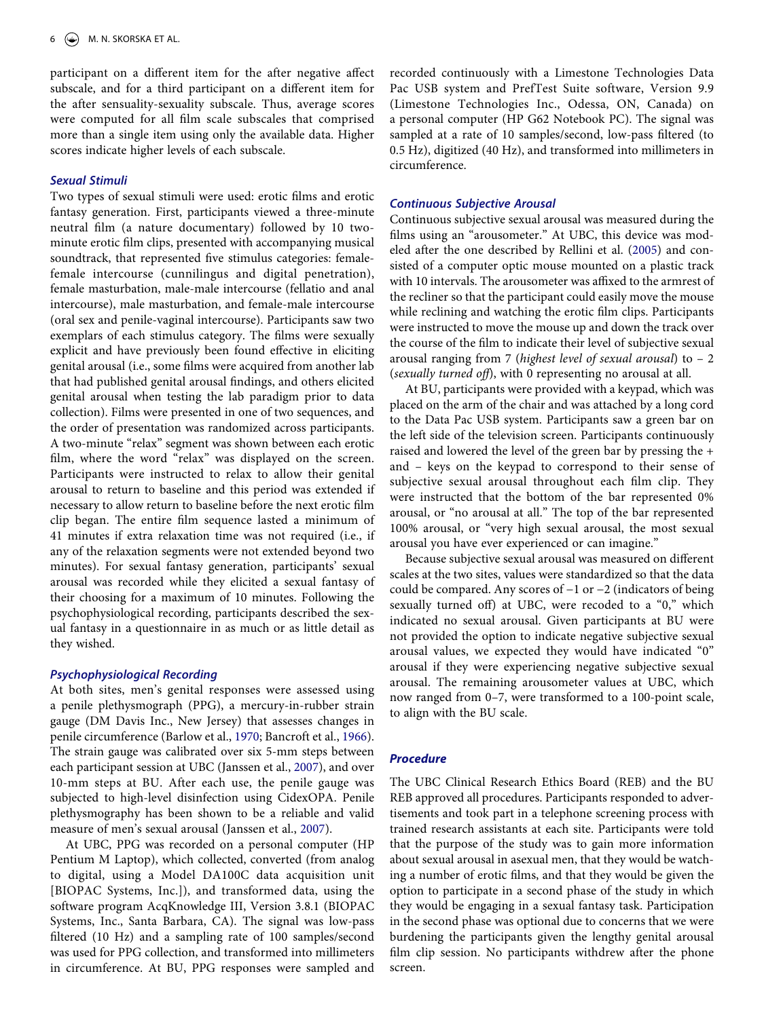participant on a different item for the after negative affect subscale, and for a third participant on a different item for the after sensuality-sexuality subscale. Thus, average scores were computed for all film scale subscales that comprised more than a single item using only the available data. Higher scores indicate higher levels of each subscale.

# *Sexual Stimuli*

Two types of sexual stimuli were used: erotic films and erotic fantasy generation. First, participants viewed a three-minute neutral film (a nature documentary) followed by 10 twominute erotic film clips, presented with accompanying musical soundtrack, that represented five stimulus categories: femalefemale intercourse (cunnilingus and digital penetration), female masturbation, male-male intercourse (fellatio and anal intercourse), male masturbation, and female-male intercourse (oral sex and penile-vaginal intercourse). Participants saw two exemplars of each stimulus category. The films were sexually explicit and have previously been found effective in eliciting genital arousal (i.e., some films were acquired from another lab that had published genital arousal findings, and others elicited genital arousal when testing the lab paradigm prior to data collection). Films were presented in one of two sequences, and the order of presentation was randomized across participants. A two-minute "relax" segment was shown between each erotic film, where the word "relax" was displayed on the screen. Participants were instructed to relax to allow their genital arousal to return to baseline and this period was extended if necessary to allow return to baseline before the next erotic film clip began. The entire film sequence lasted a minimum of 41 minutes if extra relaxation time was not required (i.e., if any of the relaxation segments were not extended beyond two minutes). For sexual fantasy generation, participants' sexual arousal was recorded while they elicited a sexual fantasy of their choosing for a maximum of 10 minutes. Following the psychophysiological recording, participants described the sexual fantasy in a questionnaire in as much or as little detail as they wished.

### *Psychophysiological Recording*

<span id="page-5-0"></span>At both sites, men's genital responses were assessed using a penile plethysmograph (PPG), a mercury-in-rubber strain gauge (DM Davis Inc., New Jersey) that assesses changes in penile circumference (Barlow et al., [1970;](#page-15-16) Bancroft et al., [1966](#page-15-17)). The strain gauge was calibrated over six 5-mm steps between each participant session at UBC (Janssen et al., [2007\)](#page-16-32), and over 10-mm steps at BU. After each use, the penile gauge was subjected to high-level disinfection using CidexOPA. Penile plethysmography has been shown to be a reliable and valid measure of men's sexual arousal (Janssen et al., [2007\)](#page-16-32).

<span id="page-5-1"></span>At UBC, PPG was recorded on a personal computer (HP Pentium M Laptop), which collected, converted (from analog to digital, using a Model DA100C data acquisition unit [BIOPAC Systems, Inc.]), and transformed data, using the software program AcqKnowledge III, Version 3.8.1 (BIOPAC Systems, Inc., Santa Barbara, CA). The signal was low-pass filtered (10 Hz) and a sampling rate of 100 samples/second was used for PPG collection, and transformed into millimeters in circumference. At BU, PPG responses were sampled and

recorded continuously with a Limestone Technologies Data Pac USB system and PrefTest Suite software, Version 9.9 (Limestone Technologies Inc., Odessa, ON, Canada) on a personal computer (HP G62 Notebook PC). The signal was sampled at a rate of 10 samples/second, low-pass filtered (to 0.5 Hz), digitized (40 Hz), and transformed into millimeters in circumference.

#### *Continuous Subjective Arousal*

<span id="page-5-2"></span>Continuous subjective sexual arousal was measured during the films using an "arousometer." At UBC, this device was modeled after the one described by Rellini et al. ([2005\)](#page-16-33) and consisted of a computer optic mouse mounted on a plastic track with 10 intervals. The arousometer was affixed to the armrest of the recliner so that the participant could easily move the mouse while reclining and watching the erotic film clips. Participants were instructed to move the mouse up and down the track over the course of the film to indicate their level of subjective sexual arousal ranging from 7 (*highest level of sexual arousal*) to – 2 (*sexually turned off*), with 0 representing no arousal at all.

At BU, participants were provided with a keypad, which was placed on the arm of the chair and was attached by a long cord to the Data Pac USB system. Participants saw a green bar on the left side of the television screen. Participants continuously raised and lowered the level of the green bar by pressing the + and – keys on the keypad to correspond to their sense of subjective sexual arousal throughout each film clip. They were instructed that the bottom of the bar represented 0% arousal, or "no arousal at all." The top of the bar represented 100% arousal, or "very high sexual arousal, the most sexual arousal you have ever experienced or can imagine."

Because subjective sexual arousal was measured on different scales at the two sites, values were standardized so that the data could be compared. Any scores of −1 or −2 (indicators of being sexually turned off) at UBC, were recoded to a "0," which indicated no sexual arousal. Given participants at BU were not provided the option to indicate negative subjective sexual arousal values, we expected they would have indicated "0" arousal if they were experiencing negative subjective sexual arousal. The remaining arousometer values at UBC, which now ranged from 0–7, were transformed to a 100-point scale, to align with the BU scale.

#### *Procedure*

The UBC Clinical Research Ethics Board (REB) and the BU REB approved all procedures. Participants responded to advertisements and took part in a telephone screening process with trained research assistants at each site. Participants were told that the purpose of the study was to gain more information about sexual arousal in asexual men, that they would be watching a number of erotic films, and that they would be given the option to participate in a second phase of the study in which they would be engaging in a sexual fantasy task. Participation in the second phase was optional due to concerns that we were burdening the participants given the lengthy genital arousal film clip session. No participants withdrew after the phone screen.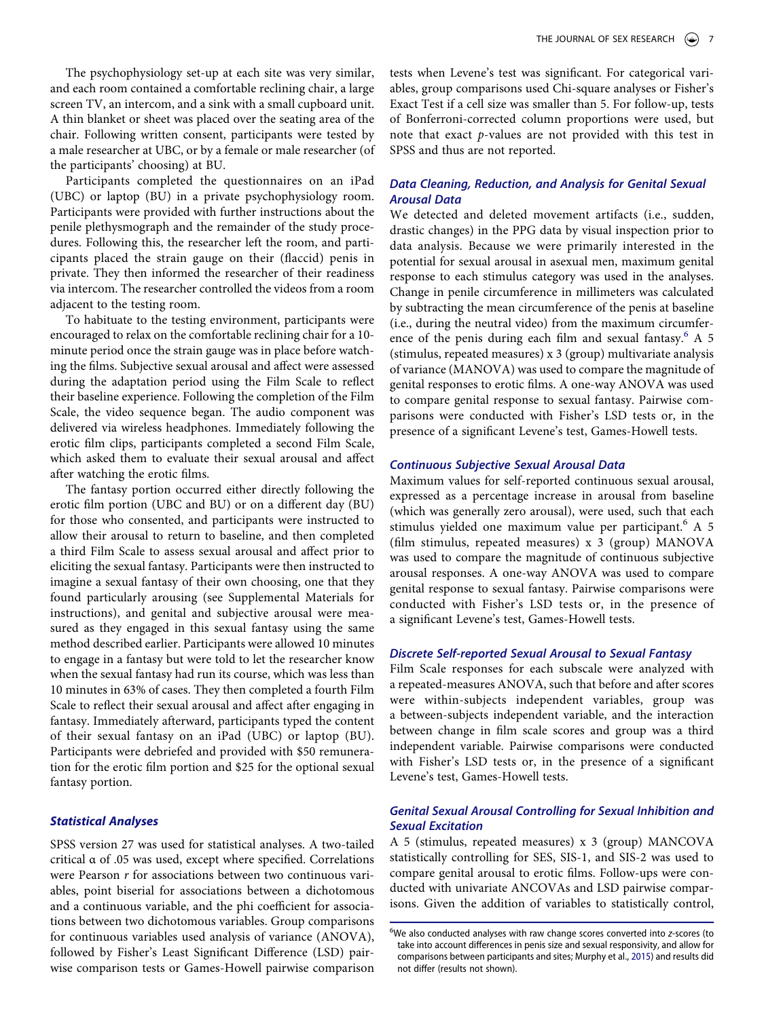The psychophysiology set-up at each site was very similar, and each room contained a comfortable reclining chair, a large screen TV, an intercom, and a sink with a small cupboard unit. A thin blanket or sheet was placed over the seating area of the chair. Following written consent, participants were tested by a male researcher at UBC, or by a female or male researcher (of the participants' choosing) at BU.

Participants completed the questionnaires on an iPad (UBC) or laptop (BU) in a private psychophysiology room. Participants were provided with further instructions about the penile plethysmograph and the remainder of the study procedures. Following this, the researcher left the room, and participants placed the strain gauge on their (flaccid) penis in private. They then informed the researcher of their readiness via intercom. The researcher controlled the videos from a room adjacent to the testing room.

To habituate to the testing environment, participants were encouraged to relax on the comfortable reclining chair for a 10 minute period once the strain gauge was in place before watching the films. Subjective sexual arousal and affect were assessed during the adaptation period using the Film Scale to reflect their baseline experience. Following the completion of the Film Scale, the video sequence began. The audio component was delivered via wireless headphones. Immediately following the erotic film clips, participants completed a second Film Scale, which asked them to evaluate their sexual arousal and affect after watching the erotic films.

The fantasy portion occurred either directly following the erotic film portion (UBC and BU) or on a different day (BU) for those who consented, and participants were instructed to allow their arousal to return to baseline, and then completed a third Film Scale to assess sexual arousal and affect prior to eliciting the sexual fantasy. Participants were then instructed to imagine a sexual fantasy of their own choosing, one that they found particularly arousing (see Supplemental Materials for instructions), and genital and subjective arousal were measured as they engaged in this sexual fantasy using the same method described earlier. Participants were allowed 10 minutes to engage in a fantasy but were told to let the researcher know when the sexual fantasy had run its course, which was less than 10 minutes in 63% of cases. They then completed a fourth Film Scale to reflect their sexual arousal and affect after engaging in fantasy. Immediately afterward, participants typed the content of their sexual fantasy on an iPad (UBC) or laptop (BU). Participants were debriefed and provided with \$50 remuneration for the erotic film portion and \$25 for the optional sexual fantasy portion.

# *Statistical Analyses*

SPSS version 27 was used for statistical analyses. A two-tailed critical α of .05 was used, except where specified. Correlations were Pearson *r* for associations between two continuous variables, point biserial for associations between a dichotomous and a continuous variable, and the phi coefficient for associations between two dichotomous variables. Group comparisons for continuous variables used analysis of variance (ANOVA), followed by Fisher's Least Significant Difference (LSD) pairwise comparison tests or Games-Howell pairwise comparison tests when Levene's test was significant. For categorical variables, group comparisons used Chi-square analyses or Fisher's Exact Test if a cell size was smaller than 5. For follow-up, tests of Bonferroni-corrected column proportions were used, but note that exact *p*-values are not provided with this test in SPSS and thus are not reported.

# *Data Cleaning, Reduction, and Analysis for Genital Sexual Arousal Data*

We detected and deleted movement artifacts (i.e., sudden, drastic changes) in the PPG data by visual inspection prior to data analysis. Because we were primarily interested in the potential for sexual arousal in asexual men, maximum genital response to each stimulus category was used in the analyses. Change in penile circumference in millimeters was calculated by subtracting the mean circumference of the penis at baseline (i.e., during the neutral video) from the maximum circumfer-ence of the penis during each film and sexual fantasy.<sup>[6](#page-6-0)</sup> A 5 (stimulus, repeated measures) x 3 (group) multivariate analysis of variance (MANOVA) was used to compare the magnitude of genital responses to erotic films. A one-way ANOVA was used to compare genital response to sexual fantasy. Pairwise comparisons were conducted with Fisher's LSD tests or, in the presence of a significant Levene's test, Games-Howell tests.

# *Continuous Subjective Sexual Arousal Data*

Maximum values for self-reported continuous sexual arousal, expressed as a percentage increase in arousal from baseline (which was generally zero arousal), were used, such that each stimulus yielded one maximum value per participant. $6 \text{ A } 5$ (film stimulus, repeated measures) x 3 (group) MANOVA was used to compare the magnitude of continuous subjective arousal responses. A one-way ANOVA was used to compare genital response to sexual fantasy. Pairwise comparisons were conducted with Fisher's LSD tests or, in the presence of a significant Levene's test, Games-Howell tests.

# *Discrete Self-reported Sexual Arousal to Sexual Fantasy*

Film Scale responses for each subscale were analyzed with a repeated-measures ANOVA, such that before and after scores were within-subjects independent variables, group was a between-subjects independent variable, and the interaction between change in film scale scores and group was a third independent variable. Pairwise comparisons were conducted with Fisher's LSD tests or, in the presence of a significant Levene's test, Games-Howell tests.

# *Genital Sexual Arousal Controlling for Sexual Inhibition and Sexual Excitation*

A 5 (stimulus, repeated measures) x 3 (group) MANCOVA statistically controlling for SES, SIS-1, and SIS-2 was used to compare genital arousal to erotic films. Follow-ups were conducted with univariate ANCOVAs and LSD pairwise comparisons. Given the addition of variables to statistically control,

<span id="page-6-1"></span><span id="page-6-0"></span><sup>6</sup> We also conducted analyses with raw change scores converted into *z*-scores (to take into account differences in penis size and sexual responsivity, and allow for comparisons between participants and sites; Murphy et al., [2015\)](#page-16-34) and results did not differ (results not shown).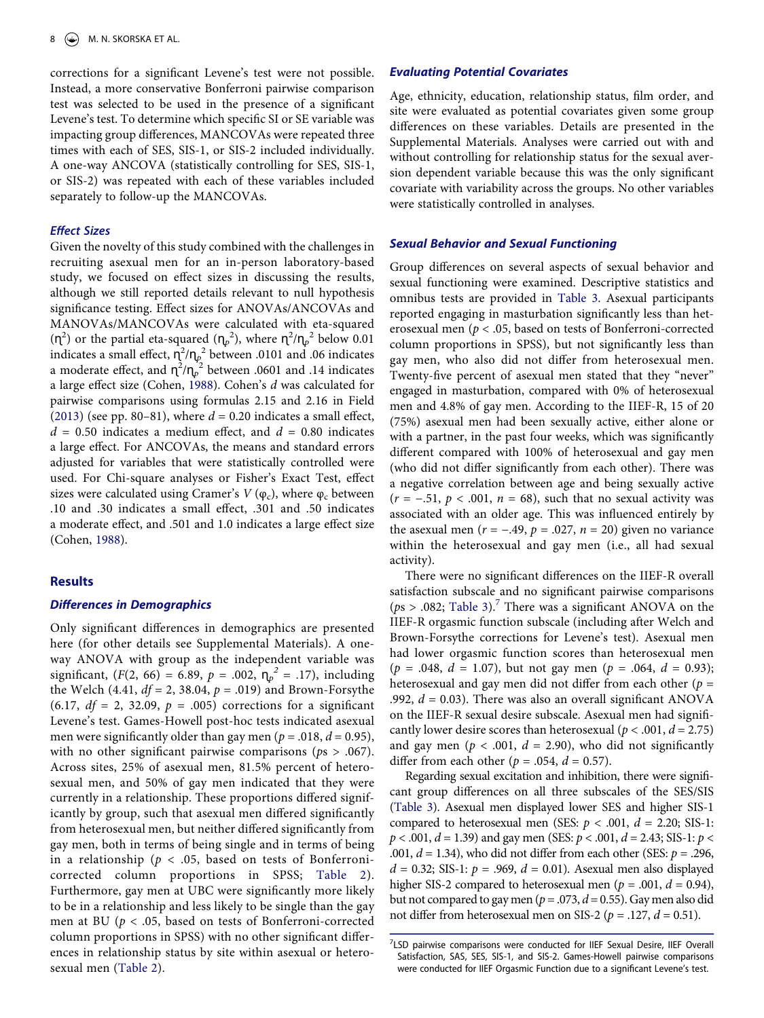corrections for a significant Levene's test were not possible. Instead, a more conservative Bonferroni pairwise comparison test was selected to be used in the presence of a significant Levene's test. To determine which specific SI or SE variable was impacting group differences, MANCOVAs were repeated three times with each of SES, SIS-1, or SIS-2 included individually. A one-way ANCOVA (statistically controlling for SES, SIS-1, or SIS-2) was repeated with each of these variables included separately to follow-up the MANCOVAs.

# *Effect Sizes*

<span id="page-7-2"></span>Given the novelty of this study combined with the challenges in recruiting asexual men for an in-person laboratory-based study, we focused on effect sizes in discussing the results, although we still reported details relevant to null hypothesis significance testing. Effect sizes for ANOVAs/ANCOVAs and MANOVAs/MANCOVAs were calculated with eta-squared  $(\eta^2)$  or the partial eta-squared  $(\eta_p^2)$ , where  $\eta^2/\eta_p^2$  below 0.01 indicates a small effect,  $\eta^2/\eta_p^2$  between .0101 and .06 indicates a moderate effect, and  $\eta^2/\eta_p^2$  between .0601 and .14 indicates a large effect size (Cohen, [1988\)](#page-16-35). Cohen's *d* was calculated for pairwise comparisons using formulas 2.15 and 2.16 in Field [\(2013\)](#page-16-36) (see pp. 80–81), where  $d = 0.20$  indicates a small effect,  $d = 0.50$  indicates a medium effect, and  $d = 0.80$  indicates a large effect. For ANCOVAs, the means and standard errors adjusted for variables that were statistically controlled were used. For Chi-square analyses or Fisher's Exact Test, effect sizes were calculated using Cramer's  $V(\varphi_c)$ , where  $\varphi_c$  between .10 and .30 indicates a small effect, .301 and .50 indicates a moderate effect, and .501 and 1.0 indicates a large effect size (Cohen, [1988\)](#page-16-35).

# <span id="page-7-1"></span>**Results**

#### *Differences in Demographics*

Only significant differences in demographics are presented here (for other details see Supplemental Materials). A oneway ANOVA with group as the independent variable was significant,  $(F(2, 66) = 6.89, p = .002, \eta_p^2 = .17)$ , including the Welch (4.41, *df* = 2, 38.04, *p* = .019) and Brown-Forsythe  $(6.17, df = 2, 32.09, p = .005)$  corrections for a significant Levene's test. Games-Howell post-hoc tests indicated asexual men were significantly older than gay men ( $p = .018$ ,  $d = 0.95$ ), with no other significant pairwise comparisons (*p*s > .067). Across sites, 25% of asexual men, 81.5% percent of heterosexual men, and 50% of gay men indicated that they were currently in a relationship. These proportions differed significantly by group, such that asexual men differed significantly from heterosexual men, but neither differed significantly from gay men, both in terms of being single and in terms of being in a relationship ( $p < .05$ , based on tests of Bonferronicorrected column proportions in SPSS; [Table 2\)](#page-8-0). Furthermore, gay men at UBC were significantly more likely to be in a relationship and less likely to be single than the gay men at BU (*p* < .05, based on tests of Bonferroni-corrected column proportions in SPSS) with no other significant differences in relationship status by site within asexual or heterosexual men ([Table 2](#page-8-0)).

#### *Evaluating Potential Covariates*

Age, ethnicity, education, relationship status, film order, and site were evaluated as potential covariates given some group differences on these variables. Details are presented in the Supplemental Materials. Analyses were carried out with and without controlling for relationship status for the sexual aversion dependent variable because this was the only significant covariate with variability across the groups. No other variables were statistically controlled in analyses.

#### *Sexual Behavior and Sexual Functioning*

Group differences on several aspects of sexual behavior and sexual functioning were examined. Descriptive statistics and omnibus tests are provided in [Table 3.](#page-8-1) Asexual participants reported engaging in masturbation significantly less than heterosexual men (*p* < .05, based on tests of Bonferroni-corrected column proportions in SPSS), but not significantly less than gay men, who also did not differ from heterosexual men. Twenty-five percent of asexual men stated that they "never" engaged in masturbation, compared with 0% of heterosexual men and 4.8% of gay men. According to the IIEF-R, 15 of 20 (75%) asexual men had been sexually active, either alone or with a partner, in the past four weeks, which was significantly different compared with 100% of heterosexual and gay men (who did not differ significantly from each other). There was a negative correlation between age and being sexually active (*r* = −.51, *p* < .001, *n* = 68), such that no sexual activity was associated with an older age. This was influenced entirely by the asexual men ( $r = -.49$ ,  $p = .027$ ,  $n = 20$ ) given no variance within the heterosexual and gay men (i.e., all had sexual activity).

There were no significant differences on the IIEF-R overall satisfaction subscale and no significant pairwise comparisons ( $ps > .082$ ; [Table 3\)](#page-8-1).<sup>7</sup> There was a significant ANOVA on the IIEF-R orgasmic function subscale (including after Welch and Brown-Forsythe corrections for Levene's test). Asexual men had lower orgasmic function scores than heterosexual men  $(p = .048, d = 1.07)$ , but not gay men  $(p = .064, d = 0.93)$ ; heterosexual and gay men did not differ from each other (*p* = .992,  $d = 0.03$ ). There was also an overall significant ANOVA on the IIEF-R sexual desire subscale. Asexual men had significantly lower desire scores than heterosexual ( $p < .001$ ,  $d = 2.75$ ) and gay men ( $p < .001$ ,  $d = 2.90$ ), who did not significantly differ from each other ( $p = .054$ ,  $d = 0.57$ ).

Regarding sexual excitation and inhibition, there were significant group differences on all three subscales of the SES/SIS [\(Table 3\)](#page-8-1). Asexual men displayed lower SES and higher SIS-1 compared to heterosexual men (SES:  $p < .001$ ,  $d = 2.20$ ; SIS-1: *p* < .001, *d* = 1.39) and gay men (SES: *p* < .001, *d* = 2.43; SIS-1: *p* < .001, *d* = 1.34), who did not differ from each other (SES: *p* = .296, *d* = 0.32; SIS-1: *p* = .969, *d* = 0.01). Asexual men also displayed higher SIS-2 compared to heterosexual men ( $p = .001$ ,  $d = 0.94$ ), but not compared to gay men ( $p = .073$ ,  $d = 0.55$ ). Gay men also did not differ from heterosexual men on SIS-2 ( $p = .127$ ,  $d = 0.51$ ).

<span id="page-7-0"></span><sup>&</sup>lt;sup>7</sup>LSD pairwise comparisons were conducted for IIEF Sexual Desire, IIEF Overall Satisfaction, SAS, SES, SIS-1, and SIS-2. Games-Howell pairwise comparisons were conducted for IIEF Orgasmic Function due to a significant Levene's test.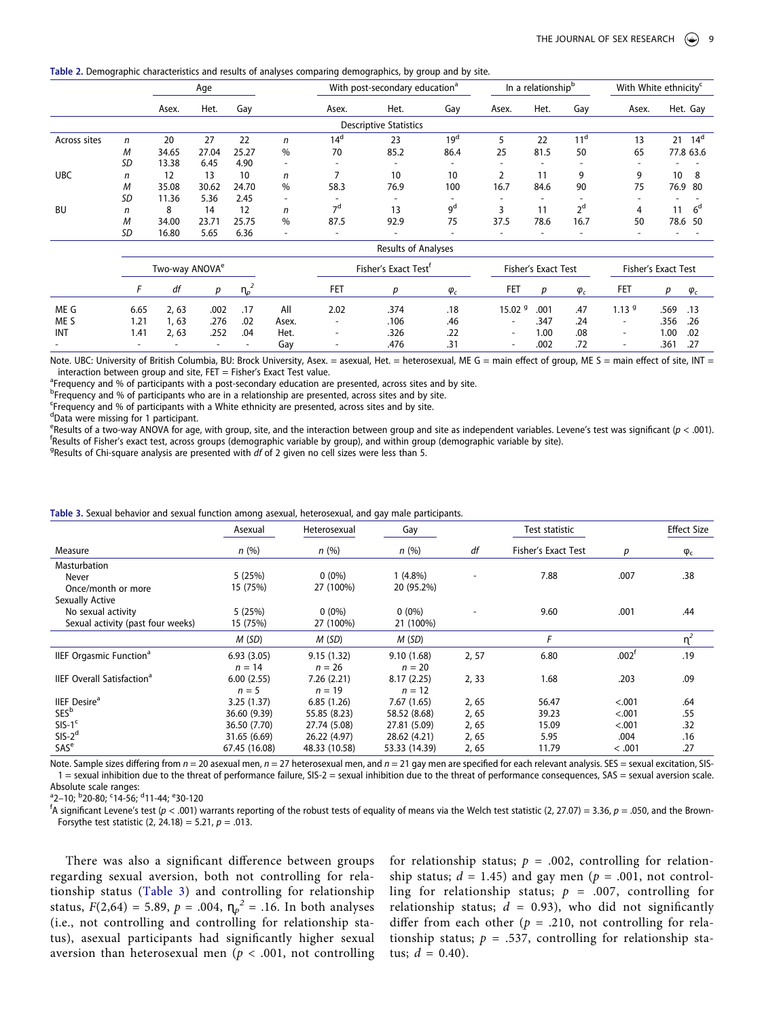<span id="page-8-0"></span>**Table 2.** Demographic characteristics and results of analyses comparing demographics, by group and by site.

|              |    |       | Age   |       |                          | With post-secondary education <sup>a</sup> |                               |                          |       | In a relationship <sup>b</sup> | With White ethnicity <sup>c</sup> |                          |                    |
|--------------|----|-------|-------|-------|--------------------------|--------------------------------------------|-------------------------------|--------------------------|-------|--------------------------------|-----------------------------------|--------------------------|--------------------|
|              |    | Asex. | Het.  | Gay   |                          | Asex.                                      | Het.                          | Gay                      | Asex. | Het.                           | Gay                               | Asex.                    | Het. Gay           |
|              |    |       |       |       |                          |                                            | <b>Descriptive Statistics</b> |                          |       |                                |                                   |                          |                    |
| Across sites | n  | 20    | 27    | 22    | n                        | 14 <sup>d</sup>                            | 23                            | 19 <sup>d</sup>          |       | 22                             | 11 <sup>a</sup>                   | 13                       | 21<br>$14^{\circ}$ |
|              | M  | 34.65 | 27.04 | 25.27 | $\%$                     | 70                                         | 85.2                          | 86.4                     | 25    | 81.5                           | 50                                | 65                       | 77.8 63.6          |
|              | SD | 13.38 | 6.45  | 4.90  | $\overline{\phantom{a}}$ | $\overline{\phantom{a}}$                   |                               |                          |       | $\overline{\phantom{0}}$       |                                   |                          |                    |
| <b>UBC</b>   | n  | 12    | 13    | 10    | n                        |                                            | 10                            | 10                       |       | 11                             | q                                 | 9                        | 10<br>8            |
|              | M  | 35.08 | 30.62 | 24.70 | $\%$                     | 58.3                                       | 76.9                          | 100                      | 16.7  | 84.6                           | 90                                | 75                       | 76.9 80            |
|              | SD | 11.36 | 5.36  | 2.45  | $\overline{\phantom{a}}$ |                                            |                               |                          |       | $\overline{\phantom{0}}$       |                                   |                          |                    |
| BU           | n  | 8     | 14    | 12    | n                        | 7 <sup>d</sup>                             | 13                            | qd                       |       | 11                             | cσ                                | 4                        | $6^{\circ}$<br>11  |
|              | M  | 34.00 | 23.71 | 25.75 | %                        | 87.5                                       | 92.9                          | 75                       | 37.5  | 78.6                           | 16.7                              | 50                       | 78.6 50            |
|              | SD | 16.80 | 5.65  | 6.36  | $\overline{\phantom{a}}$ | $\overline{\phantom{a}}$                   |                               | $\overline{\phantom{0}}$ |       | $\overline{\phantom{0}}$       |                                   | $\overline{\phantom{0}}$ |                    |

|                          | Two-way ANOVA <sup>e</sup> |       |        |        |       |                          | Fisher's Exact Test <sup>r</sup> |             |                          | Fisher's Exact Test |             |                          | Fisher's Exact Test |             |
|--------------------------|----------------------------|-------|--------|--------|-------|--------------------------|----------------------------------|-------------|--------------------------|---------------------|-------------|--------------------------|---------------------|-------------|
|                          |                            | df    | D      |        |       | FET                      |                                  | $\varphi_c$ | FET                      | D                   | $\varphi_c$ | FET                      | D                   | $\varphi_c$ |
| ME G                     | 6.65                       | 2.63  | .002   | .17    | All   | 2.02                     | .374                             | .18         | 15.02 <sup>9</sup>       | .001                | .47         | 1.13 <sup>9</sup>        | .569 .13            |             |
| ME <sub>S</sub>          | 1.21                       | 1, 63 | .276   | .02    | Asex. | $\sim$                   | .106                             | .46         | ۰.                       | .347                | .24         | $\overline{\phantom{a}}$ | .356 .26            |             |
| INT                      | 1.41                       | 2,63  | .252   | .04    | Het.  | $\overline{\phantom{a}}$ | .326                             | .22         | $\sim$                   | 1.00                | .08         | $\overline{\phantom{a}}$ | 1.00                | .02         |
| $\overline{\phantom{a}}$ | -                          |       | $\sim$ | $\sim$ | Gay   | $\overline{\phantom{a}}$ | .476                             | .31         | $\overline{\phantom{0}}$ | .002                | .72         | $\overline{\phantom{0}}$ | .361                | .27         |

Note. UBC: University of British Columbia, BU: Brock University, Asex. = asexual, Het. = heterosexual, ME G = main effect of group, ME S = main effect of site, INT = interaction between group and site,  $FET = Fisher's Exact Test value$ .

<sup>a</sup>Frequency and % of participants with a post-secondary education are presented, across sites and by site.

<sup>b</sup>Frequency and % of participants who are in a relationship are presented, across sites and by site.

Frequency and % of participants with a White ethnicity are presented, across sites and by site.

<sup>d</sup>Data were missing for 1 participant.

Results of a two-way ANOVA for age, with group, site, and the interaction between group and site as independent variables. Levene's test was significant (*p* < .001). f <sup>T</sup>Results of Fisher's exact test, across groups (demographic variable by group), and within group (demographic variable by site).

Results of Chi-square analysis are presented with *df* of 2 given no cell sizes were less than 5.

<span id="page-8-1"></span>

| Table 3. Sexual behavior and sexual function among asexual, heterosexual, and gay male participants. |  |  |
|------------------------------------------------------------------------------------------------------|--|--|
|                                                                                                      |  |  |

|                                              | Asexual<br>Heterosexual<br>Gay |               |               | Test statistic |                     | <b>Effect Size</b> |             |
|----------------------------------------------|--------------------------------|---------------|---------------|----------------|---------------------|--------------------|-------------|
| Measure                                      | n(%)                           | n(%)          | n(%)          | df             | Fisher's Exact Test | р                  | $\varphi_c$ |
| Masturbation                                 |                                |               |               |                |                     |                    |             |
| Never                                        | 5(25%)                         | $0(0\%)$      | $1(4.8\%)$    |                | 7.88                | .007               | .38         |
| Once/month or more                           | 15 (75%)                       | 27 (100%)     | 20 (95.2%)    |                |                     |                    |             |
| Sexually Active                              |                                |               |               |                |                     |                    |             |
| No sexual activity                           | 5(25%)                         | $0(0\%)$      | $0(0\%)$      |                | 9.60                | .001               | .44         |
| Sexual activity (past four weeks)            | 15 (75%)                       | 27 (100%)     | 21 (100%)     |                |                     |                    |             |
|                                              | M(SD)                          | M(SD)         | M(SD)         |                | F                   |                    | $\eta^2$    |
| <b>IIEF Orgasmic Function<sup>a</sup></b>    | 6.93(3.05)                     | 9.15(1.32)    | 9.10(1.68)    | 2,57           | 6.80                | $.002^{\dagger}$   | .19         |
|                                              | $n = 14$                       | $n = 26$      | $n = 20$      |                |                     |                    |             |
| <b>IIEF Overall Satisfaction<sup>a</sup></b> | 6.00(2.55)                     | 7.26(2.21)    | 8.17(2.25)    | 2, 33          | 1.68                | .203               | .09         |
|                                              | $n = 5$                        | $n = 19$      | $n = 12$      |                |                     |                    |             |
| <b>IIEF</b> Desire <sup>a</sup>              | 3.25(1.37)                     | 6.85(1.26)    | 7.67(1.65)    | 2,65           | 56.47               | < .001             | .64         |
| <b>SES</b> <sup>b</sup>                      | 36.60 (9.39)                   | 55.85 (8.23)  | 58.52 (8.68)  | 2,65           | 39.23               | < .001             | .55         |
| $SIS-1c$                                     | 36.50 (7.70)                   | 27.74 (5.08)  | 27.81 (5.09)  | 2,65           | 15.09               | < .001             | .32         |
| $SIS-2d$                                     | 31.65 (6.69)                   | 26.22 (4.97)  | 28.62 (4.21)  | 2,65           | 5.95                | .004               | .16         |
| SAS <sup>e</sup>                             | 67.45 (16.08)                  | 48.33 (10.58) | 53.33 (14.39) | 2,65           | 11.79               | < .001             | .27         |

Note. Sample sizes differing from  $n = 20$  asexual men,  $n = 27$  heterosexual men, and  $n = 21$  gay men are specified for each relevant analysis. SES = sexual excitation, SIS-1 = sexual inhibition due to the threat of performance failure, SIS-2 = sexual inhibition due to the threat of performance consequences, SAS = sexual aversion scale.

Absolute scale ranges:<br><sup>a</sup>2–10; <sup>b</sup>20-80; <sup>c</sup>14-56; <sup>d</sup>11-44; <sup>e</sup>30-120<br><sup>f</sup>A significant Lovene's test (n < 001) v

<sup>†</sup>A significant Levene's test (*p* < .001) warrants reporting of the robust tests of equality of means via the Welch test statistic (2, 27.07) = 3.36, *p* = .050, and the Brown-Forsythe test statistic (2, 24.18) = 5.21, *p* = .013.

There was also a significant difference between groups regarding sexual aversion, both not controlling for relationship status ([Table 3\)](#page-8-1) and controlling for relationship status,  $F(2,64) = 5.89$ ,  $p = .004$ ,  $\eta_p^2 = .16$ . In both analyses (i.e., not controlling and controlling for relationship status), asexual participants had significantly higher sexual aversion than heterosexual men ( $p < .001$ , not controlling

for relationship status;  $p = .002$ , controlling for relationship status;  $d = 1.45$ ) and gay men ( $p = .001$ , not controlling for relationship status; *p* = .007, controlling for relationship status;  $d = 0.93$ ), who did not significantly differ from each other ( $p = .210$ , not controlling for relationship status;  $p = .537$ , controlling for relationship status;  $d = 0.40$ ).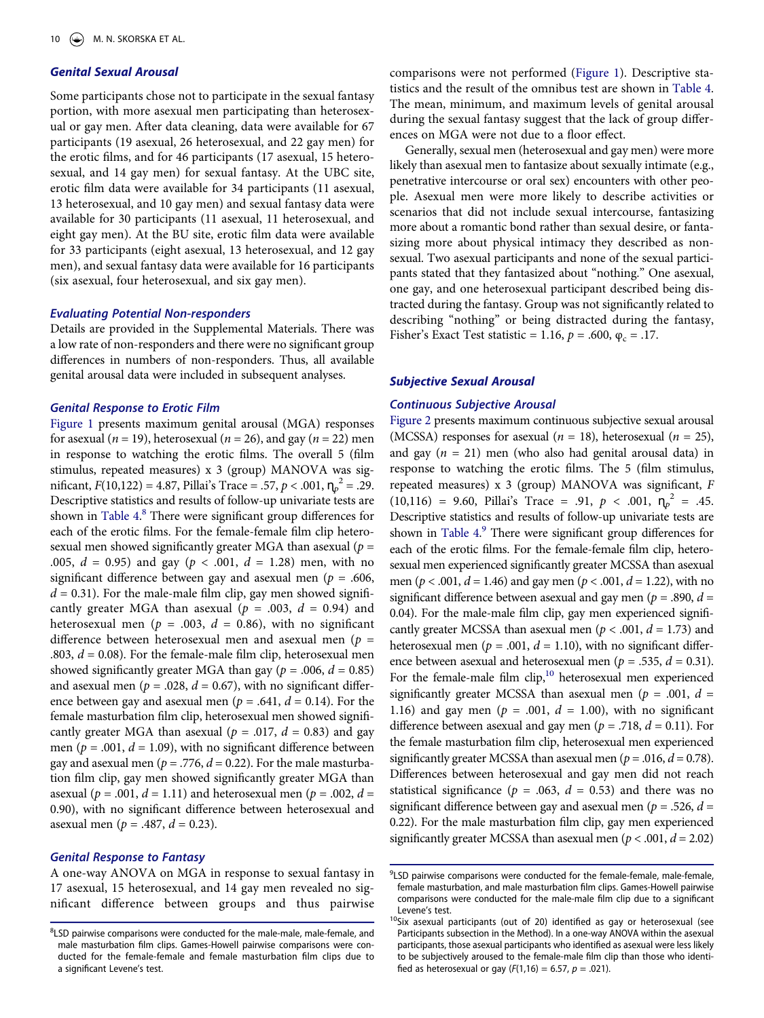# *Genital Sexual Arousal*

Some participants chose not to participate in the sexual fantasy portion, with more asexual men participating than heterosexual or gay men. After data cleaning, data were available for 67 participants (19 asexual, 26 heterosexual, and 22 gay men) for the erotic films, and for 46 participants (17 asexual, 15 heterosexual, and 14 gay men) for sexual fantasy. At the UBC site, erotic film data were available for 34 participants (11 asexual, 13 heterosexual, and 10 gay men) and sexual fantasy data were available for 30 participants (11 asexual, 11 heterosexual, and eight gay men). At the BU site, erotic film data were available for 33 participants (eight asexual, 13 heterosexual, and 12 gay men), and sexual fantasy data were available for 16 participants (six asexual, four heterosexual, and six gay men).

#### *Evaluating Potential Non-responders*

Details are provided in the Supplemental Materials. There was a low rate of non-responders and there were no significant group differences in numbers of non-responders. Thus, all available genital arousal data were included in subsequent analyses.

# *Genital Response to Erotic Film*

[Figure 1](#page-10-0) presents maximum genital arousal (MGA) responses for asexual (*n* = 19), heterosexual (*n* = 26), and gay (*n* = 22) men in response to watching the erotic films. The overall 5 (film stimulus, repeated measures) x 3 (group) MANOVA was significant,  $F(10,122) = 4.87$ , Pillai's Trace = .57,  $p < .001$ ,  $\eta_p^2 = .29$ . Descriptive statistics and results of follow-up univariate tests are shown in [Table 4](#page-10-1). [8](#page-9-0) There were significant group differences for each of the erotic films. For the female-female film clip heterosexual men showed significantly greater MGA than asexual (*p* = .005, *d* = 0.95) and gay (*p* < .001, *d* = 1.28) men, with no significant difference between gay and asexual men (*p* = .606,  $d = 0.31$ ). For the male-male film clip, gay men showed significantly greater MGA than asexual ( $p = .003$ ,  $d = 0.94$ ) and heterosexual men ( $p = .003$ ,  $d = 0.86$ ), with no significant difference between heterosexual men and asexual men (*p* = .803,  $d = 0.08$ ). For the female-male film clip, heterosexual men showed significantly greater MGA than gay ( $p = .006$ ,  $d = 0.85$ ) and asexual men ( $p = .028$ ,  $d = 0.67$ ), with no significant difference between gay and asexual men ( $p = .641$ ,  $d = 0.14$ ). For the female masturbation film clip, heterosexual men showed significantly greater MGA than asexual ( $p = .017$ ,  $d = 0.83$ ) and gay men ( $p = .001$ ,  $d = 1.09$ ), with no significant difference between gay and asexual men ( $p = .776$ ,  $d = 0.22$ ). For the male masturbation film clip, gay men showed significantly greater MGA than asexual ( $p = .001$ ,  $d = 1.11$ ) and heterosexual men ( $p = .002$ ,  $d =$ 0.90), with no significant difference between heterosexual and asexual men ( $p = .487$ ,  $d = 0.23$ ).

#### *Genital Response to Fantasy*

A one-way ANOVA on MGA in response to sexual fantasy in 17 asexual, 15 heterosexual, and 14 gay men revealed no significant difference between groups and thus pairwise comparisons were not performed [\(Figure 1\)](#page-10-0). Descriptive statistics and the result of the omnibus test are shown in [Table 4.](#page-10-1) The mean, minimum, and maximum levels of genital arousal during the sexual fantasy suggest that the lack of group differences on MGA were not due to a floor effect.

Generally, sexual men (heterosexual and gay men) were more likely than asexual men to fantasize about sexually intimate (e.g., penetrative intercourse or oral sex) encounters with other people. Asexual men were more likely to describe activities or scenarios that did not include sexual intercourse, fantasizing more about a romantic bond rather than sexual desire, or fantasizing more about physical intimacy they described as nonsexual. Two asexual participants and none of the sexual participants stated that they fantasized about "nothing." One asexual, one gay, and one heterosexual participant described being distracted during the fantasy. Group was not significantly related to describing "nothing" or being distracted during the fantasy, Fisher's Exact Test statistic = 1.16,  $p = .600$ ,  $\varphi_c = .17$ .

# *Subjective Sexual Arousal*

# *Continuous Subjective Arousal*

[Figure 2](#page-11-0) presents maximum continuous subjective sexual arousal (MCSSA) responses for asexual ( $n = 18$ ), heterosexual ( $n = 25$ ), and gay  $(n = 21)$  men (who also had genital arousal data) in response to watching the erotic films. The 5 (film stimulus, repeated measures) x 3 (group) MANOVA was significant, *F*   $(10,116) = 9.60$ , Pillai's Trace = .91,  $p < .001$ ,  $\eta_p^2 = .45$ . Descriptive statistics and results of follow-up univariate tests are shown in [Table 4](#page-10-1).<sup>9</sup> There were significant group differences for each of the erotic films. For the female-female film clip, heterosexual men experienced significantly greater MCSSA than asexual men (*p* < .001, *d* = 1.46) and gay men (*p* < .001, *d* = 1.22), with no significant difference between asexual and gay men (*p* = .890, *d* = 0.04). For the male-male film clip, gay men experienced significantly greater MCSSA than asexual men ( $p < .001$ ,  $d = 1.73$ ) and heterosexual men ( $p = .001$ ,  $d = 1.10$ ), with no significant difference between asexual and heterosexual men ( $p = .535$ ,  $d = 0.31$ ). For the female-male film  $\text{clip}$ ,<sup>10</sup> heterosexual men experienced significantly greater MCSSA than asexual men ( $p = .001$ ,  $d =$ 1.16) and gay men ( $p = .001$ ,  $d = 1.00$ ), with no significant difference between asexual and gay men ( $p = .718$ ,  $d = 0.11$ ). For the female masturbation film clip, heterosexual men experienced significantly greater MCSSA than asexual men ( $p = .016$ ,  $d = 0.78$ ). Differences between heterosexual and gay men did not reach statistical significance ( $p = .063$ ,  $d = 0.53$ ) and there was no significant difference between gay and asexual men (*p* = .526, *d* = 0.22). For the male masturbation film clip, gay men experienced significantly greater MCSSA than asexual men ( $p < .001$ ,  $d = 2.02$ )

<span id="page-9-0"></span><sup>&</sup>lt;sup>8</sup>LSD pairwise comparisons were conducted for the male-male, male-female, and male masturbation film clips. Games-Howell pairwise comparisons were conducted for the female-female and female masturbation film clips due to a significant Levene's test.

<span id="page-9-1"></span><sup>9</sup> LSD pairwise comparisons were conducted for the female-female, male-female, female masturbation, and male masturbation film clips. Games-Howell pairwise comparisons were conducted for the male-male film clip due to a significant Levene's test.<br><sup>10</sup>Six asexual participants (out of 20) identified as gay or heterosexual (see

<span id="page-9-2"></span>Participants subsection in the Method). In a one-way ANOVA within the asexual participants, those asexual participants who identified as asexual were less likely to be subjectively aroused to the female-male film clip than those who identified as heterosexual or gay  $(F(1,16) = 6.57, p = .021)$ .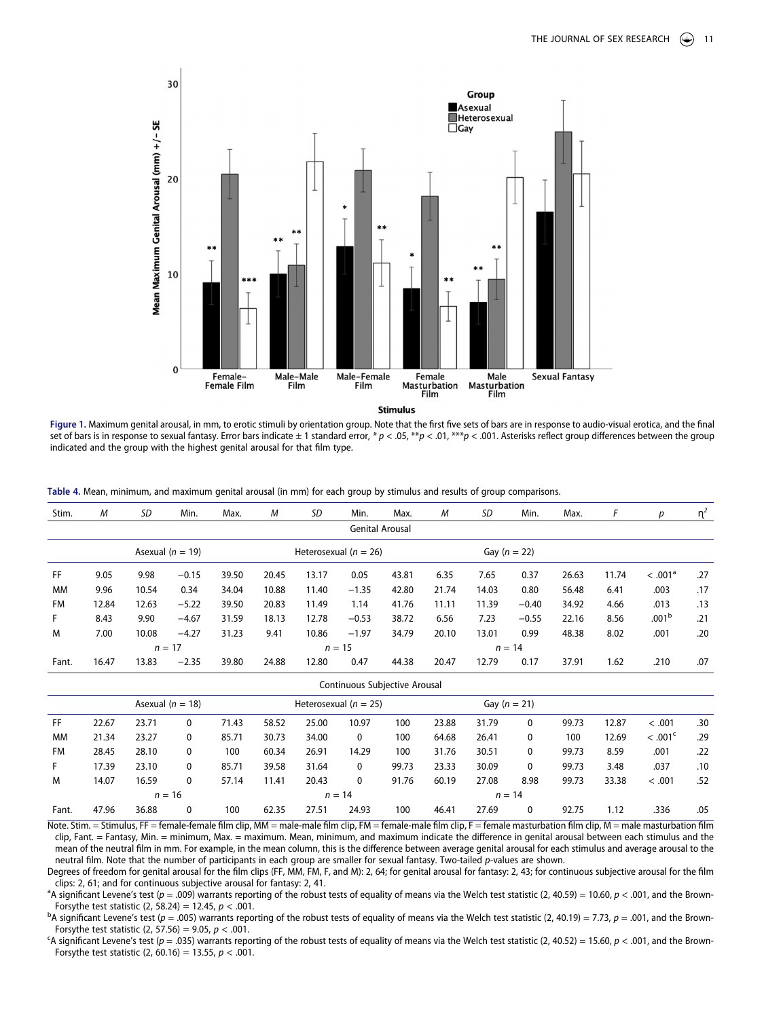<span id="page-10-0"></span>

**Figure 1.** Maximum genital arousal, in mm, to erotic stimuli by orientation group. Note that the first five sets of bars are in response to audio-visual erotica, and the final set of bars is in response to sexual fantasy. Error bars indicate ± 1 standard error, *\* p* < .05, \*\**p* < .01, \*\*\**p* < .001. Asterisks reflect group differences between the group indicated and the group with the highest genital arousal for that film type.

<span id="page-10-1"></span>

| Table 4. Mean, minimum, and maximum genital arousal (in mm) for each group by stimulus and results of group comparisons.<br>and the component of the component of the component of the component of the component of the component of the |  |
|-------------------------------------------------------------------------------------------------------------------------------------------------------------------------------------------------------------------------------------------|--|
|-------------------------------------------------------------------------------------------------------------------------------------------------------------------------------------------------------------------------------------------|--|

| Stim.             | M                                    | SD    | Min.                                                                                                                      | Max.  | M                    | SD                      | Min.                          | Max.                                | M        | SD                                              | Min.             | Max.  | F                                     | р                   | n <sup>2</sup> |
|-------------------|--------------------------------------|-------|---------------------------------------------------------------------------------------------------------------------------|-------|----------------------|-------------------------|-------------------------------|-------------------------------------|----------|-------------------------------------------------|------------------|-------|---------------------------------------|---------------------|----------------|
|                   |                                      |       |                                                                                                                           |       |                      |                         |                               | <b>Genital Arousal</b>              |          |                                                 |                  |       |                                       |                     |                |
|                   |                                      |       | Asexual ( $n = 19$ )                                                                                                      |       |                      |                         | Heterosexual ( $n = 26$ )     |                                     |          |                                                 | Gay ( $n = 22$ ) |       |                                       |                     |                |
| <b>FF</b>         | 9.05                                 | 9.98  | $-0.15$                                                                                                                   | 39.50 | 20.45                | 13.17                   | 0.05                          | 43.81                               | 6.35     | 7.65                                            | 0.37             | 26.63 | 11.74                                 | < .001 <sup>a</sup> | .27            |
| <b>MM</b>         | 9.96                                 | 10.54 | 0.34                                                                                                                      | 34.04 | 10.88                | 11.40                   | $-1.35$                       | 42.80                               | 21.74    | 14.03                                           | 0.80             | 56.48 | 6.41                                  | .003                | .17            |
| <b>FM</b>         | 12.84                                | 12.63 | $-5.22$                                                                                                                   | 39.50 | 20.83                | 11.49                   | 1.14                          | 41.76                               | 11.11    | 11.39                                           | $-0.40$          | 34.92 | 4.66                                  | .013                | .13            |
| F.                | 8.43                                 | 9.90  | $-4.67$                                                                                                                   | 31.59 | 18.13                | 12.78                   | $-0.53$                       | 38.72                               | 6.56     | 7.23                                            | $-0.55$          | 22.16 | 8.56                                  | .001 <sup>b</sup>   | .21            |
| M                 | 7.00                                 | 10.08 | $-4.27$                                                                                                                   | 31.23 | 9.41                 | 10.86                   | $-1.97$                       | 34.79                               | 20.10    | 13.01                                           | 0.99             | 48.38 | 8.02                                  | .001                | .20            |
|                   | $n = 17$<br>$n = 15$                 |       |                                                                                                                           |       |                      |                         |                               |                                     | $n = 14$ |                                                 |                  |       |                                       |                     |                |
| Fant.             | 16.47                                | 13.83 | $-2.35$                                                                                                                   | 39.80 | 24.88                | 12.80                   | 0.47                          | 44.38                               | 20.47    | 12.79                                           | 0.17             | 37.91 | 1.62                                  | .210                | .07            |
|                   |                                      |       |                                                                                                                           |       |                      |                         | Continuous Subjective Arousal |                                     |          |                                                 |                  |       |                                       |                     |                |
|                   |                                      |       | Asexual ( $n = 18$ )                                                                                                      |       |                      |                         | Heterosexual ( $n = 25$ )     |                                     |          |                                                 | Gay ( $n = 21$ ) |       |                                       |                     |                |
| <b>FF</b>         | 22.67                                | 23.71 | 0                                                                                                                         | 71.43 | 58.52                | 25.00                   | 10.97                         | 100                                 | 23.88    | 31.79                                           | 0                | 99.73 | 12.87                                 | < .001              | .30            |
| <b>MM</b>         | 21.34                                | 23.27 | 0                                                                                                                         | 85.71 | 30.73                | 34.00                   | 0                             | 100                                 | 64.68    | 26.41                                           | 0                | 100   | 12.69                                 | < .001 <sup>c</sup> | .29            |
| <b>FM</b>         | 28.45                                | 28.10 | 0                                                                                                                         | 100   | 60.34                | 26.91                   | 14.29                         | 100                                 | 31.76    | 30.51                                           | 0                | 99.73 | 8.59                                  | .001                | .22            |
| F.                | 17.39                                | 23.10 | 0                                                                                                                         | 85.71 | 39.58                | 31.64                   | 0                             | 99.73                               | 23.33    | 30.09                                           | 0                | 99.73 | 3.48                                  | .037                | .10            |
| M                 | 14.07                                | 16.59 | $\mathbf{0}$                                                                                                              | 57.14 | 11.41                | 20.43                   | 0                             | 91.76                               | 60.19    | 27.08                                           | 8.98             | 99.73 | 33.38                                 | < .001              | .52            |
|                   |                                      |       | $n = 16$                                                                                                                  |       |                      |                         | $n = 14$                      |                                     |          |                                                 | $n = 14$         |       |                                       |                     |                |
| Fant.<br>$\cdots$ | 47.96<br>$\sim$ $\sim$ $\sim$ $\sim$ | 36.88 | 0<br>$\mathbf{r}$ $\mathbf{r}$ $\mathbf{r}$ $\mathbf{r}$ $\mathbf{r}$ $\mathbf{r}$ $\mathbf{r}$ $\mathbf{r}$ $\mathbf{r}$ | 100   | 62.35<br><b>AAAA</b> | 27.51<br>$\overline{1}$ | 24.93<br>11.77714             | 100<br>$\epsilon$ in the $\epsilon$ | 46.41    | 27.69<br>$\mathbf{r}$ $\mathbf{r}$ $\mathbf{r}$ | 0                | 92.75 | 1.12<br>$\mathbf{r}$ and $\mathbf{r}$ | .336                | .05            |

Note. Stim. = Stimulus, FF = female-female film clip, MM = male-male film clip, FM = female-male film clip, F = female masturbation film clip, M = male masturbation film clip, Fant. = Fantasy, Min. = minimum, Max. = maximum. Mean, minimum, and maximum indicate the difference in genital arousal between each stimulus and the mean of the neutral film in mm. For example, in the mean column, this is the difference between average genital arousal for each stimulus and average arousal to the neutral film. Note that the number of participants in each group are smaller for sexual fantasy. Two-tailed *p*-values are shown.

Degrees of freedom for genital arousal for the film clips (FF, MM, FM, F, and M): 2, 64; for genital arousal for fantasy: 2, 43; for continuous subjective arousal for the film clips: 2, 61; and for continuous subjective arousal for fantasy: 2, 41.

<sup>a</sup>A significant Levene's test ( $p = .009$ ) warrants reporting of the robust tests of equality of means via the Welch test statistic (2, 40.59) = 10.60,  $p < .001$ , and the Brown-Forsythe test statistic (2, 58.24) = 12.45, *p* < .001. b

<sup>b</sup>A significant Levene's test (*p* = .005) warrants reporting of the robust tests of equality of means via the Welch test statistic (2, 40.19) = 7.73, *p* = .001, and the Brown-Forsythe test statistic  $(2, 57.56) = 9.05$ ,  $p < .001$ .

<sup>C</sup>A significant Levene's test ( $p = .035$ ) warrants reporting of the robust tests of equality of means via the Welch test statistic (2, 40.52) = 15.60,  $p < .001$ , and the Brown-Forsythe test statistic (2, 60.16) = 13.55, *p* < .001.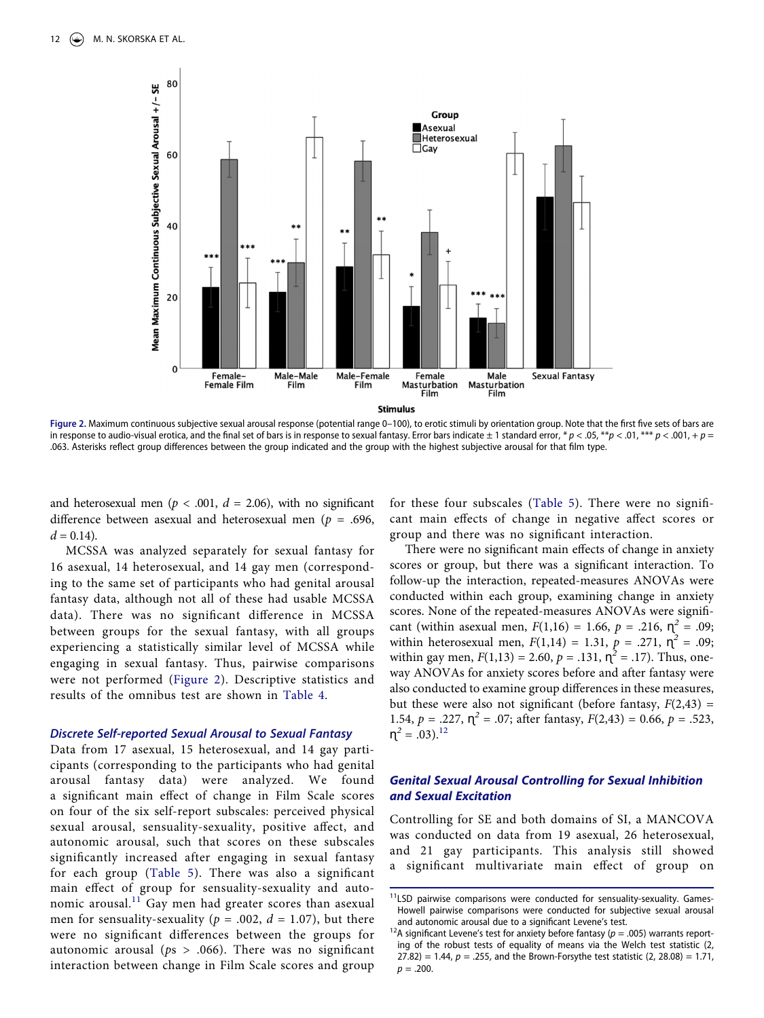<span id="page-11-0"></span>

Figure 2. Maximum continuous subjective sexual arousal response (potential range 0-100), to erotic stimuli by orientation group. Note that the first five sets of bars are in response to audio-visual erotica, and the final set of bars is in response to sexual fantasy. Error bars indicate  $\pm 1$  standard error,  $* p < .05$ ,  $* p < .01$ ,  $* * p < .001$ ,  $+ p =$ .063. Asterisks reflect group differences between the group indicated and the group with the highest subjective arousal for that film type.

and heterosexual men ( $p < .001$ ,  $d = 2.06$ ), with no significant difference between asexual and heterosexual men (*p* = .696,  $d = 0.14$ .

MCSSA was analyzed separately for sexual fantasy for 16 asexual, 14 heterosexual, and 14 gay men (corresponding to the same set of participants who had genital arousal fantasy data, although not all of these had usable MCSSA data). There was no significant difference in MCSSA between groups for the sexual fantasy, with all groups experiencing a statistically similar level of MCSSA while engaging in sexual fantasy. Thus, pairwise comparisons were not performed ([Figure 2\)](#page-11-0). Descriptive statistics and results of the omnibus test are shown in [Table 4](#page-10-1).

### *Discrete Self-reported Sexual Arousal to Sexual Fantasy*

Data from 17 asexual, 15 heterosexual, and 14 gay participants (corresponding to the participants who had genital arousal fantasy data) were analyzed. We found a significant main effect of change in Film Scale scores on four of the six self-report subscales: perceived physical sexual arousal, sensuality-sexuality, positive affect, and autonomic arousal, such that scores on these subscales significantly increased after engaging in sexual fantasy for each group ([Table 5\)](#page-12-0). There was also a significant main effect of group for sensuality-sexuality and autonomic arousal.<sup>11</sup> Gay men had greater scores than asexual men for sensuality-sexuality ( $p = .002$ ,  $d = 1.07$ ), but there were no significant differences between the groups for autonomic arousal ( $ps > .066$ ). There was no significant interaction between change in Film Scale scores and group

for these four subscales [\(Table 5\)](#page-12-0). There were no significant main effects of change in negative affect scores or group and there was no significant interaction.

There were no significant main effects of change in anxiety scores or group, but there was a significant interaction. To follow-up the interaction, repeated-measures ANOVAs were conducted within each group, examining change in anxiety scores. None of the repeated-measures ANOVAs were significant (within asexual men,  $F(1,16) = 1.66$ ,  $p = .216$ ,  $\eta^2 = .09$ ; within heterosexual men,  $F(1,14) = 1.31$ ,  $p = .271$ ,  $\eta^2 = .09$ ; within gay men,  $F(1,13) = 2.60$ ,  $p = .131$ ,  $\eta^2 = .17$ ). Thus, oneway ANOVAs for anxiety scores before and after fantasy were also conducted to examine group differences in these measures, but these were also not significant (before fantasy,  $F(2,43) =$ 1.54,  $p = .227$ ,  $\eta^2 = .07$ ; after fantasy,  $F(2,43) = 0.66$ ,  $p = .523$ ,  $\eta^2 = .03$ .<sup>[12](#page-11-2)</sup>

# *Genital Sexual Arousal Controlling for Sexual Inhibition and Sexual Excitation*

Controlling for SE and both domains of SI, a MANCOVA was conducted on data from 19 asexual, 26 heterosexual, and 21 gay participants. This analysis still showed a significant multivariate main effect of group on

<span id="page-11-1"></span><sup>&</sup>lt;sup>11</sup>LSD pairwise comparisons were conducted for sensuality-sexuality. Games-Howell pairwise comparisons were conducted for subjective sexual arousal

<span id="page-11-2"></span>and autonomic arousal due to a significant Levene's test.<br><sup>12</sup>A significant Levene's test for anxiety before fantasy (*p* = .005) warrants reporting of the robust tests of equality of means via the Welch test statistic (2, 27.82) = 1.44,  $p = 0.255$ , and the Brown-Forsythe test statistic  $(2, 28.08) = 1.71$ ,  $p = .200$ .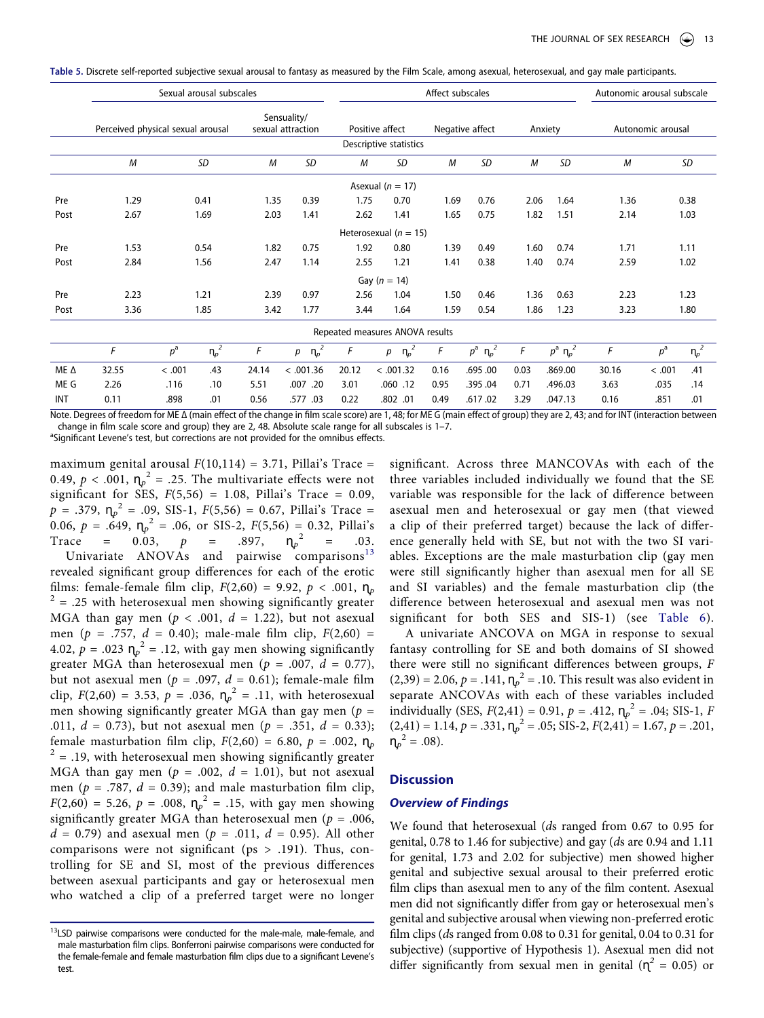<span id="page-12-0"></span>**Table 5.** Discrete self-reported subjective sexual arousal to fantasy as measured by the Film Scale, among asexual, heterosexual, and gay male participants.

|      |                                   | Sexual arousal subscales         |      | Affect subscales |                                 |                        |                 |               |         | Autonomic arousal subscale |      |                                      |
|------|-----------------------------------|----------------------------------|------|------------------|---------------------------------|------------------------|-----------------|---------------|---------|----------------------------|------|--------------------------------------|
|      | Perceived physical sexual arousal | Sensuality/<br>sexual attraction |      | Positive affect  |                                 |                        | Negative affect |               | Anxiety | Autonomic arousal          |      |                                      |
|      |                                   |                                  |      |                  |                                 | Descriptive statistics |                 |               |         |                            |      |                                      |
|      | M                                 | <b>SD</b>                        | M    | <b>SD</b>        | M                               | SD                     | M               | <b>SD</b>     | M       | <b>SD</b>                  | M    | SD                                   |
|      |                                   |                                  |      |                  |                                 | Asexual ( $n = 17$ )   |                 |               |         |                            |      |                                      |
| Pre  | 1.29                              | 0.41                             | 1.35 | 0.39             | 1.75                            | 0.70                   | 1.69            | 0.76          | 2.06    | 1.64                       | 1.36 | 0.38                                 |
| Post | 2.67                              | 1.69                             | 2.03 | 1.41             | 2.62                            | 1.41                   | 1.65            | 0.75          | 1.82    | 1.51                       | 2.14 | 1.03                                 |
|      |                                   |                                  |      |                  | Heterosexual ( $n = 15$ )       |                        |                 |               |         |                            |      |                                      |
| Pre  | 1.53                              | 0.54                             | 1.82 | 0.75             | 1.92                            | 0.80                   | 1.39            | 0.49          | 1.60    | 0.74                       | 1.71 | 1.11                                 |
| Post | 2.84                              | 1.56                             | 2.47 | 1.14             | 2.55                            | 1.21                   | 1.41            | 0.38          | 1.40    | 0.74                       | 2.59 | 1.02                                 |
|      |                                   |                                  |      |                  |                                 | Gay ( $n = 14$ )       |                 |               |         |                            |      |                                      |
| Pre  | 2.23                              | 1.21                             | 2.39 | 0.97             | 2.56                            | 1.04                   | 1.50            | 0.46          | 1.36    | 0.63                       | 2.23 | 1.23                                 |
| Post | 3.36                              | 1.85                             | 3.42 | 1.77             | 3.44                            | 1.64                   | 1.59            | 0.54          | 1.86    | 1.23                       | 3.23 | 1.80                                 |
|      |                                   |                                  |      |                  | Repeated measures ANOVA results |                        |                 |               |         |                            |      |                                      |
|      | F                                 | $n_{\varphi}^2$<br>$p^{\rm a}$   | F    | $\eta_p^2$<br>р  | F                               | $n_{\varphi}^2$<br>р   | F               | $p^a$ $n_p^2$ | F       | $p^a$ $n_p^2$              | F    | $\overline{\eta_p}^2$<br>$p^{\rm a}$ |

|             |       | D      |     |       |           |       | ון רוויס היו היום היו היו היו הווידים היו היו היו |      |          |      |         |       |        | ւ Խ |
|-------------|-------|--------|-----|-------|-----------|-------|---------------------------------------------------|------|----------|------|---------|-------|--------|-----|
| ME $\Delta$ | 32.55 | < 0.01 | .43 | 24.14 | < .001.36 | 20.12 | < .001.32                                         | 0.16 | .695.00  | 0.03 | .869.00 | 30.16 | < .001 | .41 |
| ME G        | 2.26  | .116   | .10 | 5.51  | .007 .20  | 3.01  | .060.12                                           | 0.95 | .395 .04 | 0.71 | .496.03 | 3.63  | .035   | .14 |
| INT         | 0.11  | .898   | .01 | 0.56  | .577 .03  | 0.22  | .802.01                                           | 0.49 | .617.02  | 3.29 | .047.13 | 0.16  | .851   | .01 |

Note. Degrees of freedom for ME Δ (main effect of the change in film scale score) are 1, 48; for ME G (main effect of group) they are 2, 43; and for INT (interaction between change in film scale score and group) they are 2, 48. Absolute scale range for all subscales is 1-7.

<sup>a</sup>Significant Levene's test, but corrections are not provided for the omnibus effects.

maximum genital arousal  $F(10,114) = 3.71$ , Pillai's Trace = 0.49,  $p < .001$ ,  $\eta_p^2 = .25$ . The multivariate effects were not significant for SES,  $F(5,56) = 1.08$ , Pillai's Trace = 0.09,  $p = .379$ ,  $\eta_p^2 = .09$ , SIS-1,  $F(5,56) = 0.67$ , Pillai's Trace = 0.06,  $p = .649$ ,  $\eta_p^2 = .06$ , or SIS-2,  $F(5,56) = 0.32$ , Pillai's Trace =  $0.03$ , *p* = .897,  $\eta_p^2$  $=$  .03. Univariate ANOVAs and pairwise comparisons<sup>[13](#page-12-1)</sup> revealed significant group differences for each of the erotic<br>films: female-female film clip,  $F(2,60) = 9.92$ ,  $p < .001$ ,  $n_p$  $f^2 = .25$  with heterosexual men showing significantly greater MGA than gay men ( $p < .001$ ,  $d = 1.22$ ), but not asexual men ( $p = .757$ ,  $d = 0.40$ ); male-male film clip,  $F(2,60) =$ 4.02,  $p = .023 \, \text{m}^2 = .12$ , with gay men showing significantly greater MGA than heterosexual men ( $p = .007$ ,  $d = 0.77$ ), but not asexual men ( $p = .097$ ,  $d = 0.61$ ); female-male film clip,  $F(2,60) = 3.53$ ,  $p = .036$ ,  $\eta_p^2 = .11$ , with heterosexual men showing significantly greater MGA than gay men (*p* = .011, *d* = 0.73), but not asexual men (*p* = .351, *d* = 0.33); female masturbation film clip,  $F(2,60) = 6.80$ ,  $p = .002$ ,  $\eta_p$ <sup>2</sup> = .19, with heterosexual men showing significantly greater MGA than gay men ( $p = .002$ ,  $d = 1.01$ ), but not asexual men ( $p = .787$ ,  $d = 0.39$ ); and male masturbation film clip,  $F(2,60) = 5.26, p = .008, \eta_p^2 = .15$ , with gay men showing significantly greater MGA than heterosexual men (*p* = .006,  $d = 0.79$ ) and asexual men ( $p = .011$ ,  $d = 0.95$ ). All other comparisons were not significant ( $ps > .191$ ). Thus, controlling for SE and SI, most of the previous differences between asexual participants and gay or heterosexual men who watched a clip of a preferred target were no longer

significant. Across three MANCOVAs with each of the three variables included individually we found that the SE variable was responsible for the lack of difference between asexual men and heterosexual or gay men (that viewed a clip of their preferred target) because the lack of difference generally held with SE, but not with the two SI variables. Exceptions are the male masturbation clip (gay men were still significantly higher than asexual men for all SE and SI variables) and the female masturbation clip (the difference between heterosexual and asexual men was not significant for both SES and SIS-1) (see [Table 6](#page-13-0)).

A univariate ANCOVA on MGA in response to sexual fantasy controlling for SE and both domains of SI showed there were still no significant differences between groups, *F*   $(2,39) = 2.06, p = .141, \eta_p^2 = .10$ . This result was also evident in separate ANCOVAs with each of these variables included individually (SES,  $F(2,41) = 0.91$ ,  $p = .412$ ,  $\eta_p^2 = .04$ ; SIS-1,  $F$  $(2,41) = 1.14, p = .331, \eta_p^2 = .05; SIS-2, F(2,41) = 1.67, p = .201,$  $n_p^2 = .08$ ).

# **Discussion**

### *Overview of Findings*

We found that heterosexual (*d*s ranged from 0.67 to 0.95 for genital, 0.78 to 1.46 for subjective) and gay (*d*s are 0.94 and 1.11 for genital, 1.73 and 2.02 for subjective) men showed higher genital and subjective sexual arousal to their preferred erotic film clips than asexual men to any of the film content. Asexual men did not significantly differ from gay or heterosexual men's genital and subjective arousal when viewing non-preferred erotic film clips (*d*s ranged from 0.08 to 0.31 for genital, 0.04 to 0.31 for subjective) (supportive of Hypothesis 1). Asexual men did not differ significantly from sexual men in genital ( $\eta^2 = 0.05$ ) or

<span id="page-12-1"></span><sup>&</sup>lt;sup>13</sup>LSD pairwise comparisons were conducted for the male-male, male-female, and male masturbation film clips. Bonferroni pairwise comparisons were conducted for the female-female and female masturbation film clips due to a significant Levene's test.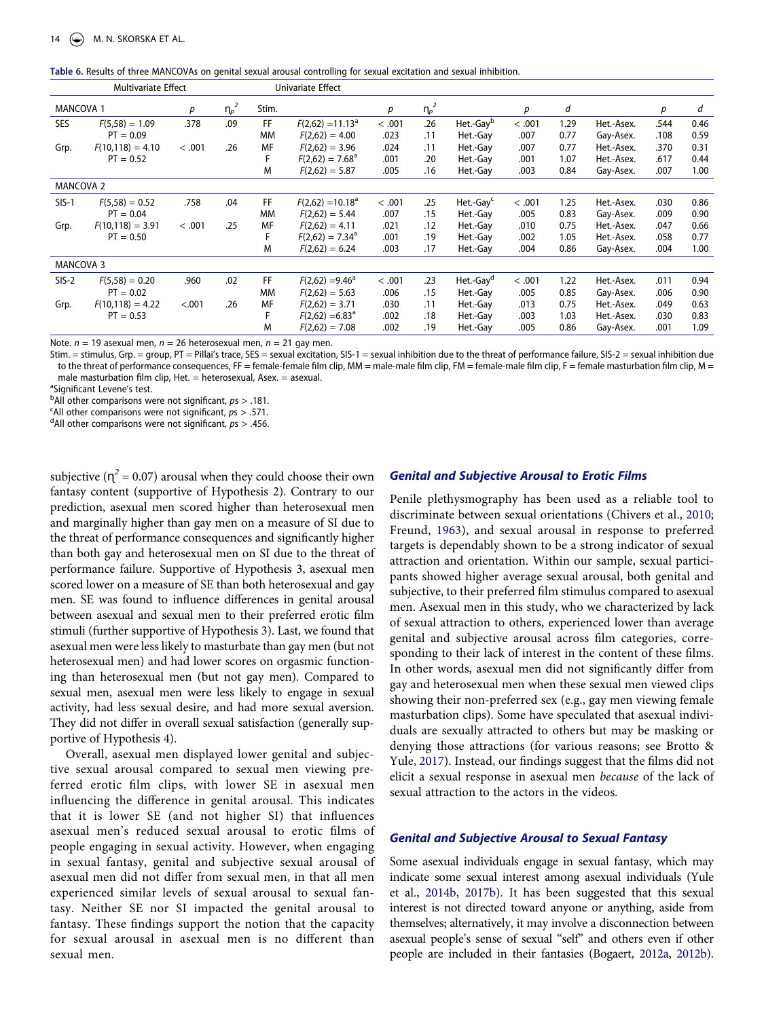<span id="page-13-0"></span>

| Table 6. Results of three MANCOVAs on genital sexual arousal controlling for sexual excitation and sexual inhibition. |  |  |  |  |
|-----------------------------------------------------------------------------------------------------------------------|--|--|--|--|
|-----------------------------------------------------------------------------------------------------------------------|--|--|--|--|

| <b>Multivariate Effect</b> |                    |        |                 | Univariate Effect |                          |        |         |                       |        |      |            |      |      |
|----------------------------|--------------------|--------|-----------------|-------------------|--------------------------|--------|---------|-----------------------|--------|------|------------|------|------|
| <b>MANCOVA 1</b>           |                    | р      | $n_{\varphi}^2$ | Stim.             |                          | p      | $n_{p}$ |                       | р      | d    |            | р    | d    |
| <b>SES</b>                 | $F(5,58) = 1.09$   | .378   | .09             | FF                | $F(2,62) = 11.13a$       | < .001 | .26     | Het.-Gay <sup>b</sup> | < .001 | 1.29 | Het.-Asex. | .544 | 0.46 |
|                            | $PT = 0.09$        |        |                 | МM                | $F(2,62) = 4.00$         | .023   | .11     | Het.-Gay              | .007   | 0.77 | Gay-Asex.  | .108 | 0.59 |
| Grp.                       | $F(10,118) = 4.10$ | < .001 | .26             | MF                | $F(2,62) = 3.96$         | .024   | .11     | Het.-Gay              | .007   | 0.77 | Het.-Asex. | .370 | 0.31 |
|                            | $PT = 0.52$        |        |                 |                   | $F(2,62) = 7.68^{\circ}$ | .001   | .20     | Het.-Gay              | .001   | 1.07 | Het.-Asex. | .617 | 0.44 |
|                            |                    |        |                 | M                 | $F(2,62) = 5.87$         | .005   | .16     | Het.-Gay              | .003   | 0.84 | Gay-Asex.  | .007 | 1.00 |
| <b>MANCOVA 2</b>           |                    |        |                 |                   |                          |        |         |                       |        |      |            |      |      |
| $SIS-1$                    | $F(5,58) = 0.52$   | .758   | .04             | FF                | $F(2,62) = 10.18a$       | < .001 | .25     | Het.-Gay <sup>c</sup> | < .001 | 1.25 | Het.-Asex. | .030 | 0.86 |
|                            | $PT = 0.04$        |        |                 | <b>MM</b>         | $F(2,62) = 5.44$         | .007   | .15     | Het.-Gay              | .005   | 0.83 | Gay-Asex.  | .009 | 0.90 |
| Grp.                       | $F(10,118) = 3.91$ | < .001 | .25             | MF                | $F(2,62) = 4.11$         | .021   | .12     | Het.-Gay              | .010   | 0.75 | Het.-Asex. | .047 | 0.66 |
|                            | $PT = 0.50$        |        |                 |                   | $F(2,62) = 7.34^a$       | .001   | .19     | Het.-Gay              | .002   | 1.05 | Het.-Asex. | .058 | 0.77 |
|                            |                    |        |                 | M                 | $F(2,62) = 6.24$         | .003   | .17     | Het.-Gay              | .004   | 0.86 | Gay-Asex.  | .004 | 1.00 |
| <b>MANCOVA 3</b>           |                    |        |                 |                   |                          |        |         |                       |        |      |            |      |      |
| $SIS-2$                    | $F(5,58) = 0.20$   | .960   | .02             | FF                | $F(2,62) = 9.46^{\circ}$ | < .001 | .23     | Het.-Gay <sup>d</sup> | < .001 | 1.22 | Het.-Asex. | .011 | 0.94 |
|                            | $PT = 0.02$        |        |                 | <b>MM</b>         | $F(2,62) = 5.63$         | .006   | .15     | Het.-Gay              | .005   | 0.85 | Gay-Asex.  | .006 | 0.90 |
| Grp.                       | $F(10,118) = 4.22$ | < .001 | .26             | MF                | $F(2,62) = 3.71$         | .030   | .11     | Het.-Gay              | .013   | 0.75 | Het.-Asex. | .049 | 0.63 |
|                            | $PT = 0.53$        |        |                 |                   | $F(2,62) = 6.83^{\circ}$ | .002   | .18     | Het.-Gay              | .003   | 1.03 | Het.-Asex. | .030 | 0.83 |
|                            |                    |        |                 | M                 | $F(2,62) = 7.08$         | .002   | .19     | Het.-Gay              | .005   | 0.86 | Gay-Asex.  | .001 | 1.09 |
|                            |                    |        |                 |                   |                          |        |         |                       |        |      |            |      |      |

Note. *n* = 19 asexual men, *n* = 26 heterosexual men, *n* = 21 gay men.

Stim. = stimulus, Grp. = group, PT = Pillai's trace, SES = sexual excitation, SIS-1 = sexual inhibition due to the threat of performance failure, SIS-2 = sexual inhibition due to the threat of performance consequences, FF = female-female film clip, MM = male-male film clip, FM = female-male film clip, F = female masturbation film clip, M = male masturbation film clip, Het.  $=$  heterosexual, Asex.  $=$  asexual.

<sup>a</sup>Significant Levene's test.

b<sup>b</sup>All other comparisons were not significant,  $ps > .181$ .

<sup>c</sup>All other comparisons were not significant,  $p_s > .571$ .

All other comparisons were not significant, *p*s > .456.

subjective ( $\eta^2$  = 0.07) arousal when they could choose their own fantasy content (supportive of Hypothesis 2). Contrary to our prediction, asexual men scored higher than heterosexual men and marginally higher than gay men on a measure of SI due to the threat of performance consequences and significantly higher than both gay and heterosexual men on SI due to the threat of performance failure. Supportive of Hypothesis 3, asexual men scored lower on a measure of SE than both heterosexual and gay men. SE was found to influence differences in genital arousal between asexual and sexual men to their preferred erotic film stimuli (further supportive of Hypothesis 3). Last, we found that asexual men were less likely to masturbate than gay men (but not heterosexual men) and had lower scores on orgasmic functioning than heterosexual men (but not gay men). Compared to sexual men, asexual men were less likely to engage in sexual activity, had less sexual desire, and had more sexual aversion. They did not differ in overall sexual satisfaction (generally supportive of Hypothesis 4).

Overall, asexual men displayed lower genital and subjective sexual arousal compared to sexual men viewing preferred erotic film clips, with lower SE in asexual men influencing the difference in genital arousal. This indicates that it is lower SE (and not higher SI) that influences asexual men's reduced sexual arousal to erotic films of people engaging in sexual activity. However, when engaging in sexual fantasy, genital and subjective sexual arousal of asexual men did not differ from sexual men, in that all men experienced similar levels of sexual arousal to sexual fantasy. Neither SE nor SI impacted the genital arousal to fantasy. These findings support the notion that the capacity for sexual arousal in asexual men is no different than sexual men.

# *Genital and Subjective Arousal to Erotic Films*

<span id="page-13-1"></span>Penile plethysmography has been used as a reliable tool to discriminate between sexual orientations (Chivers et al., [2010;](#page-16-25) Freund, [1963\)](#page-16-37), and sexual arousal in response to preferred targets is dependably shown to be a strong indicator of sexual attraction and orientation. Within our sample, sexual participants showed higher average sexual arousal, both genital and subjective, to their preferred film stimulus compared to asexual men. Asexual men in this study, who we characterized by lack of sexual attraction to others, experienced lower than average genital and subjective arousal across film categories, corresponding to their lack of interest in the content of these films. In other words, asexual men did not significantly differ from gay and heterosexual men when these sexual men viewed clips showing their non-preferred sex (e.g., gay men viewing female masturbation clips). Some have speculated that asexual individuals are sexually attracted to others but may be masking or denying those attractions (for various reasons; see Brotto & Yule, [2017](#page-16-2)). Instead, our findings suggest that the films did not elicit a sexual response in asexual men *because* of the lack of sexual attraction to the actors in the videos.

#### *Genital and Subjective Arousal to Sexual Fantasy*

Some asexual individuals engage in sexual fantasy, which may indicate some sexual interest among asexual individuals (Yule et al., [2014b,](#page-17-5) [2017b\)](#page-17-1). It has been suggested that this sexual interest is not directed toward anyone or anything, aside from themselves; alternatively, it may involve a disconnection between asexual people's sense of sexual "self" and others even if other people are included in their fantasies (Bogaert, [2012a,](#page-15-1) [2012b](#page-15-10)).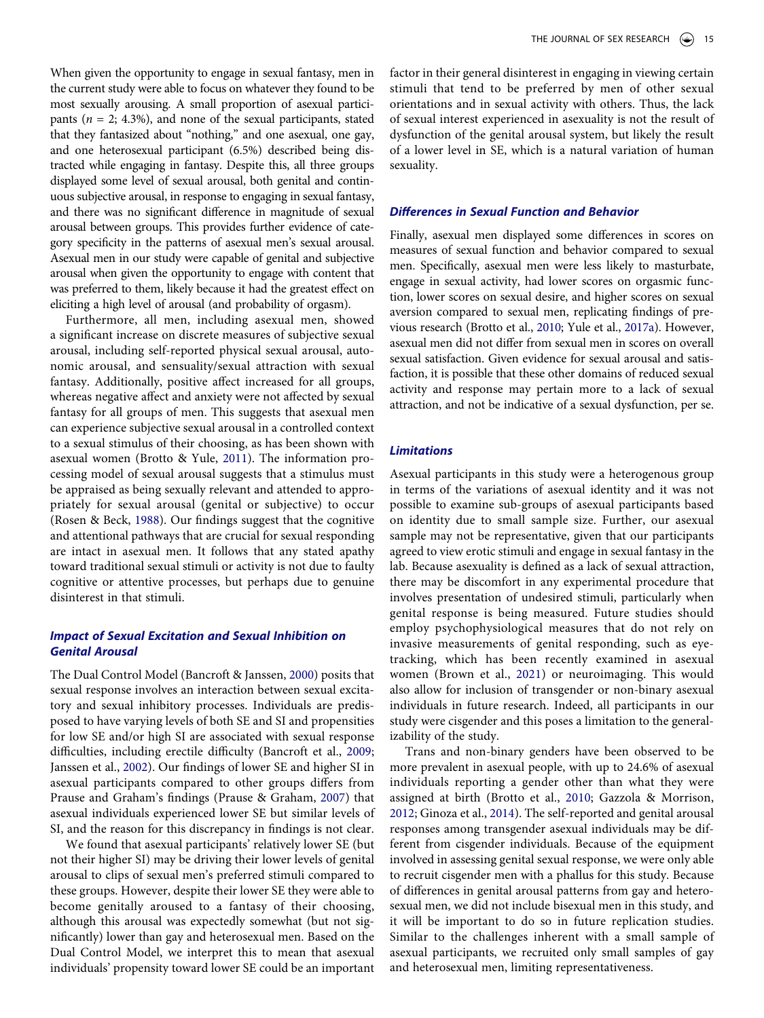When given the opportunity to engage in sexual fantasy, men in the current study were able to focus on whatever they found to be most sexually arousing. A small proportion of asexual participants (*n* = 2; 4.3%), and none of the sexual participants, stated that they fantasized about "nothing," and one asexual, one gay, and one heterosexual participant (6.5%) described being distracted while engaging in fantasy. Despite this, all three groups displayed some level of sexual arousal, both genital and continuous subjective arousal, in response to engaging in sexual fantasy, and there was no significant difference in magnitude of sexual arousal between groups. This provides further evidence of category specificity in the patterns of asexual men's sexual arousal. Asexual men in our study were capable of genital and subjective arousal when given the opportunity to engage with content that was preferred to them, likely because it had the greatest effect on eliciting a high level of arousal (and probability of orgasm).

Furthermore, all men, including asexual men, showed a significant increase on discrete measures of subjective sexual arousal, including self-reported physical sexual arousal, autonomic arousal, and sensuality/sexual attraction with sexual fantasy. Additionally, positive affect increased for all groups, whereas negative affect and anxiety were not affected by sexual fantasy for all groups of men. This suggests that asexual men can experience subjective sexual arousal in a controlled context to a sexual stimulus of their choosing, as has been shown with asexual women (Brotto & Yule, [2011](#page-16-26)). The information processing model of sexual arousal suggests that a stimulus must be appraised as being sexually relevant and attended to appropriately for sexual arousal (genital or subjective) to occur (Rosen & Beck, [1988\)](#page-16-18). Our findings suggest that the cognitive and attentional pathways that are crucial for sexual responding are intact in asexual men. It follows that any stated apathy toward traditional sexual stimuli or activity is not due to faulty cognitive or attentive processes, but perhaps due to genuine disinterest in that stimuli.

# *Impact of Sexual Excitation and Sexual Inhibition on Genital Arousal*

The Dual Control Model (Bancroft & Janssen, [2000](#page-15-14)) posits that sexual response involves an interaction between sexual excitatory and sexual inhibitory processes. Individuals are predisposed to have varying levels of both SE and SI and propensities for low SE and/or high SI are associated with sexual response difficulties, including erectile difficulty (Bancroft et al., [2009;](#page-15-15) Janssen et al., [2002\)](#page-16-30). Our findings of lower SE and higher SI in asexual participants compared to other groups differs from Prause and Graham's findings (Prause & Graham, [2007](#page-16-13)) that asexual individuals experienced lower SE but similar levels of SI, and the reason for this discrepancy in findings is not clear.

We found that asexual participants' relatively lower SE (but not their higher SI) may be driving their lower levels of genital arousal to clips of sexual men's preferred stimuli compared to these groups. However, despite their lower SE they were able to become genitally aroused to a fantasy of their choosing, although this arousal was expectedly somewhat (but not significantly) lower than gay and heterosexual men. Based on the Dual Control Model, we interpret this to mean that asexual individuals' propensity toward lower SE could be an important factor in their general disinterest in engaging in viewing certain stimuli that tend to be preferred by men of other sexual orientations and in sexual activity with others. Thus, the lack of sexual interest experienced in asexuality is not the result of dysfunction of the genital arousal system, but likely the result of a lower level in SE, which is a natural variation of human sexuality.

# *Differences in Sexual Function and Behavior*

Finally, asexual men displayed some differences in scores on measures of sexual function and behavior compared to sexual men. Specifically, asexual men were less likely to masturbate, engage in sexual activity, had lower scores on orgasmic function, lower scores on sexual desire, and higher scores on sexual aversion compared to sexual men, replicating findings of previous research (Brotto et al., [2010](#page-16-1); Yule et al., [2017a\)](#page-17-3). However, asexual men did not differ from sexual men in scores on overall sexual satisfaction. Given evidence for sexual arousal and satisfaction, it is possible that these other domains of reduced sexual activity and response may pertain more to a lack of sexual attraction, and not be indicative of a sexual dysfunction, per se.

### *Limitations*

Asexual participants in this study were a heterogenous group in terms of the variations of asexual identity and it was not possible to examine sub-groups of asexual participants based on identity due to small sample size. Further, our asexual sample may not be representative, given that our participants agreed to view erotic stimuli and engage in sexual fantasy in the lab. Because asexuality is defined as a lack of sexual attraction, there may be discomfort in any experimental procedure that involves presentation of undesired stimuli, particularly when genital response is being measured. Future studies should employ psychophysiological measures that do not rely on invasive measurements of genital responding, such as eyetracking, which has been recently examined in asexual women (Brown et al., [2021\)](#page-16-38) or neuroimaging. This would also allow for inclusion of transgender or non-binary asexual individuals in future research. Indeed, all participants in our study were cisgender and this poses a limitation to the generalizability of the study.

<span id="page-14-2"></span><span id="page-14-1"></span><span id="page-14-0"></span>Trans and non-binary genders have been observed to be more prevalent in asexual people, with up to 24.6% of asexual individuals reporting a gender other than what they were assigned at birth (Brotto et al., [2010](#page-16-1); Gazzola & Morrison, [2012](#page-16-39); Ginoza et al., [2014](#page-16-40)). The self-reported and genital arousal responses among transgender asexual individuals may be different from cisgender individuals. Because of the equipment involved in assessing genital sexual response, we were only able to recruit cisgender men with a phallus for this study. Because of differences in genital arousal patterns from gay and heterosexual men, we did not include bisexual men in this study, and it will be important to do so in future replication studies. Similar to the challenges inherent with a small sample of asexual participants, we recruited only small samples of gay and heterosexual men, limiting representativeness.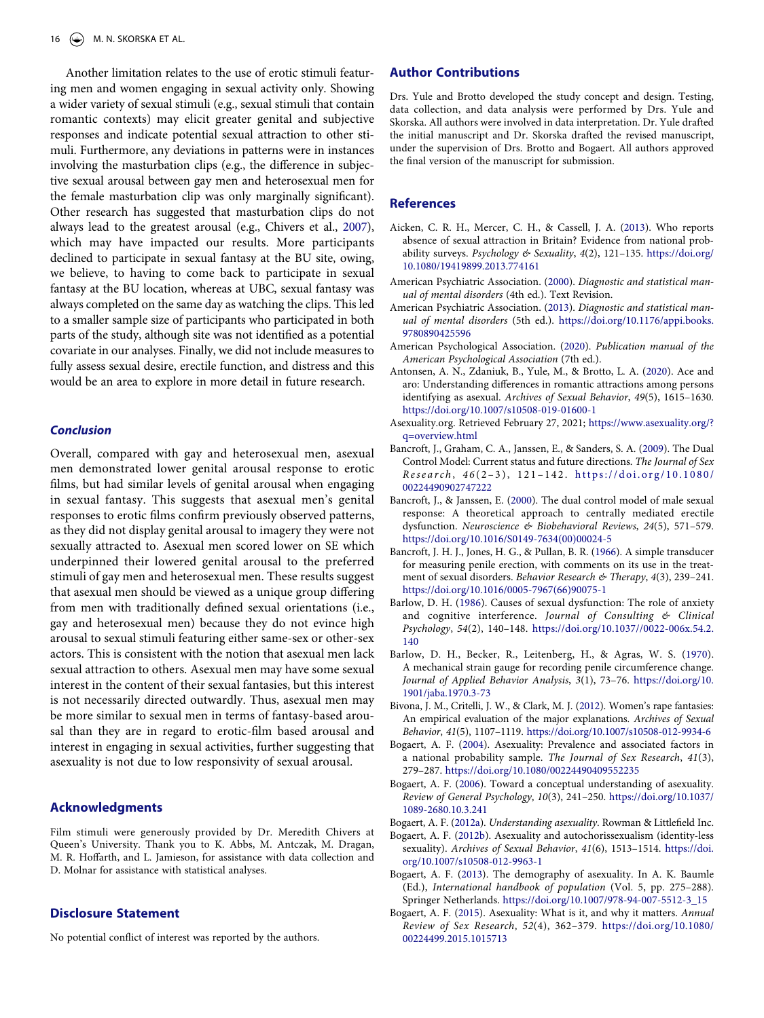Another limitation relates to the use of erotic stimuli featuring men and women engaging in sexual activity only. Showing a wider variety of sexual stimuli (e.g., sexual stimuli that contain romantic contexts) may elicit greater genital and subjective responses and indicate potential sexual attraction to other stimuli. Furthermore, any deviations in patterns were in instances involving the masturbation clips (e.g., the difference in subjective sexual arousal between gay men and heterosexual men for the female masturbation clip was only marginally significant). Other research has suggested that masturbation clips do not always lead to the greatest arousal (e.g., Chivers et al., [2007](#page-16-24)), which may have impacted our results. More participants declined to participate in sexual fantasy at the BU site, owing, we believe, to having to come back to participate in sexual fantasy at the BU location, whereas at UBC, sexual fantasy was always completed on the same day as watching the clips. This led to a smaller sample size of participants who participated in both parts of the study, although site was not identified as a potential covariate in our analyses. Finally, we did not include measures to fully assess sexual desire, erectile function, and distress and this would be an area to explore in more detail in future research.

### *Conclusion*

Overall, compared with gay and heterosexual men, asexual men demonstrated lower genital arousal response to erotic films, but had similar levels of genital arousal when engaging in sexual fantasy. This suggests that asexual men's genital responses to erotic films confirm previously observed patterns, as they did not display genital arousal to imagery they were not sexually attracted to. Asexual men scored lower on SE which underpinned their lowered genital arousal to the preferred stimuli of gay men and heterosexual men. These results suggest that asexual men should be viewed as a unique group differing from men with traditionally defined sexual orientations (i.e., gay and heterosexual men) because they do not evince high arousal to sexual stimuli featuring either same-sex or other-sex actors. This is consistent with the notion that asexual men lack sexual attraction to others. Asexual men may have some sexual interest in the content of their sexual fantasies, but this interest is not necessarily directed outwardly. Thus, asexual men may be more similar to sexual men in terms of fantasy-based arousal than they are in regard to erotic-film based arousal and interest in engaging in sexual activities, further suggesting that asexuality is not due to low responsivity of sexual arousal.

# **Acknowledgments**

Film stimuli were generously provided by Dr. Meredith Chivers at Queen's University. Thank you to K. Abbs, M. Antczak, M. Dragan, M. R. Hoffarth, and L. Jamieson, for assistance with data collection and D. Molnar for assistance with statistical analyses.

# **Disclosure Statement**

No potential conflict of interest was reported by the authors.

# **Author Contributions**

Drs. Yule and Brotto developed the study concept and design. Testing, data collection, and data analysis were performed by Drs. Yule and Skorska. All authors were involved in data interpretation. Dr. Yule drafted the initial manuscript and Dr. Skorska drafted the revised manuscript, under the supervision of Drs. Brotto and Bogaert. All authors approved the final version of the manuscript for submission.

# **References**

- <span id="page-15-3"></span>Aicken, C. R. H., Mercer, C. H., & Cassell, J. A. [\(2013](#page-0-4)). Who reports absence of sexual attraction in Britain? Evidence from national probability surveys. *Psychology & Sexuality*, *4*(2), 121–135. [https://doi.org/](https://doi.org/10.1080/19419899.2013.774161)  [10.1080/19419899.2013.774161](https://doi.org/10.1080/19419899.2013.774161)
- <span id="page-15-11"></span>American Psychiatric Association. [\(2000](#page-1-1)). *Diagnostic and statistical manual of mental disorders* (4th ed.). Text Revision.
- <span id="page-15-12"></span>American Psychiatric Association. [\(2013](#page-1-2)). *Diagnostic and statistical manual of mental disorders* (5th ed.). [https://doi.org/10.1176/appi.books.](https://doi.org/10.1176/appi.books.9780890425596) [9780890425596](https://doi.org/10.1176/appi.books.9780890425596)
- <span id="page-15-8"></span>American Psychological Association. ([2020\)](#page-0-5). *Publication manual of the American Psychological Association* (7th ed.).
- <span id="page-15-2"></span>Antonsen, A. N., Zdaniuk, B., Yule, M., & Brotto, L. A. [\(2020\)](#page-0-6). Ace and aro: Understanding differences in romantic attractions among persons identifying as asexual. *Archives of Sexual Behavior*, *49*(5), 1615–1630. <https://doi.org/10.1007/s10508-019-01600-1>
- <span id="page-15-7"></span>Asexuality.org. Retrieved February 27, 2021; [https://www.asexuality.org/?](https://www.asexuality.org/?q=overview.html) [q=overview.html](https://www.asexuality.org/?q=overview.html)
- <span id="page-15-15"></span>Bancroft, J., Graham, C. A., Janssen, E., & Sanders, S. A. ([2009\)](#page-4-1). The Dual Control Model: Current status and future directions. *The Journal of Sex Research* , *4 6* (2–3), 121–142. [https://doi.org/10.1080/](https://doi.org/10.1080/00224490902747222) [00224490902747222](https://doi.org/10.1080/00224490902747222)
- <span id="page-15-14"></span>Bancroft, J., & Janssen, E. [\(2000](#page-2-1)). The dual control model of male sexual response: A theoretical approach to centrally mediated erectile dysfunction. *Neuroscience & Biobehavioral Reviews*, *24*(5), 571–579. [https://doi.org/10.1016/S0149-7634\(00\)00024-5](https://doi.org/10.1016/S0149-7634(00)00024-5)
- <span id="page-15-17"></span>Bancroft, J. H. J., Jones, H. G., & Pullan, B. R. ([1966\)](#page-5-0). A simple transducer for measuring penile erection, with comments on its use in the treatment of sexual disorders. *Behavior Research & Therapy*, *4*(3), 239–241. [https://doi.org/10.1016/0005-7967\(66\)90075-1](https://doi.org/10.1016/0005-7967(66)90075-1)
- <span id="page-15-13"></span>Barlow, D. H. [\(1986\)](#page-2-2). Causes of sexual dysfunction: The role of anxiety and cognitive interference. *Journal of Consulting & Clinical Psychology*, *54*(2), 140–148. [https://doi.org/10.1037//0022-006x.54.2.](https://doi.org/10.1037//0022-006x.54.2.140) [140](https://doi.org/10.1037//0022-006x.54.2.140)
- <span id="page-15-16"></span>Barlow, D. H., Becker, R., Leitenberg, H., & Agras, W. S. [\(1970](#page-5-0)). A mechanical strain gauge for recording penile circumference change. *Journal of Applied Behavior Analysis*, *3*(1), 73–76. [https://doi.org/10.](https://doi.org/10.1901/jaba.1970.3-73)  [1901/jaba.1970.3-73](https://doi.org/10.1901/jaba.1970.3-73)
- <span id="page-15-9"></span>Bivona, J. M., Critelli, J. W., & Clark, M. J. [\(2012](#page-1-3)). Women's rape fantasies: An empirical evaluation of the major explanations. *Archives of Sexual Behavior*, *41*(5), 1107–1119. <https://doi.org/10.1007/s10508-012-9934-6>
- <span id="page-15-0"></span>Bogaert, A. F. ([2004\)](#page-0-7). Asexuality: Prevalence and associated factors in a national probability sample. *The Journal of Sex Research*, *41*(3), 279–287. <https://doi.org/10.1080/00224490409552235>
- <span id="page-15-6"></span>Bogaert, A. F. ([2006](#page-0-7)). Toward a conceptual understanding of asexuality. *Review of General Psychology*, *10*(3), 241–250. [https://doi.org/10.1037/](https://doi.org/10.1037/1089-2680.10.3.241) [1089-2680.10.3.241](https://doi.org/10.1037/1089-2680.10.3.241)
- <span id="page-15-1"></span>Bogaert, A. F. ([2012a](#page-0-8)). *Understanding asexuality*. Rowman & Littlefield Inc.
- <span id="page-15-10"></span>Bogaert, A. F. [\(2012b](#page-1-4)). Asexuality and autochorissexualism (identity-less sexuality). *Archives of Sexual Behavior*, *41*(6), 1513–1514. [https://doi.](https://doi.org/10.1007/s10508-012-9963-1)  [org/10.1007/s10508-012-9963-1](https://doi.org/10.1007/s10508-012-9963-1)
- <span id="page-15-4"></span>Bogaert, A. F. ([2013](#page-0-9)). The demography of asexuality. In A. K. Baumle (Ed.), *International handbook of population* (Vol. 5, pp. 275–288). Springer Netherlands. [https://doi.org/10.1007/978-94-007-5512-3\\_15](https://doi.org/10.1007/978-94-007-5512-3_15)
- <span id="page-15-5"></span>Bogaert, A. F. [\(2015\)](#page-0-7). Asexuality: What is it, and why it matters. *Annual Review of Sex Research*, *52*(4), 362–379. [https://doi.org/10.1080/](https://doi.org/10.1080/00224499.2015.1015713) [00224499.2015.1015713](https://doi.org/10.1080/00224499.2015.1015713)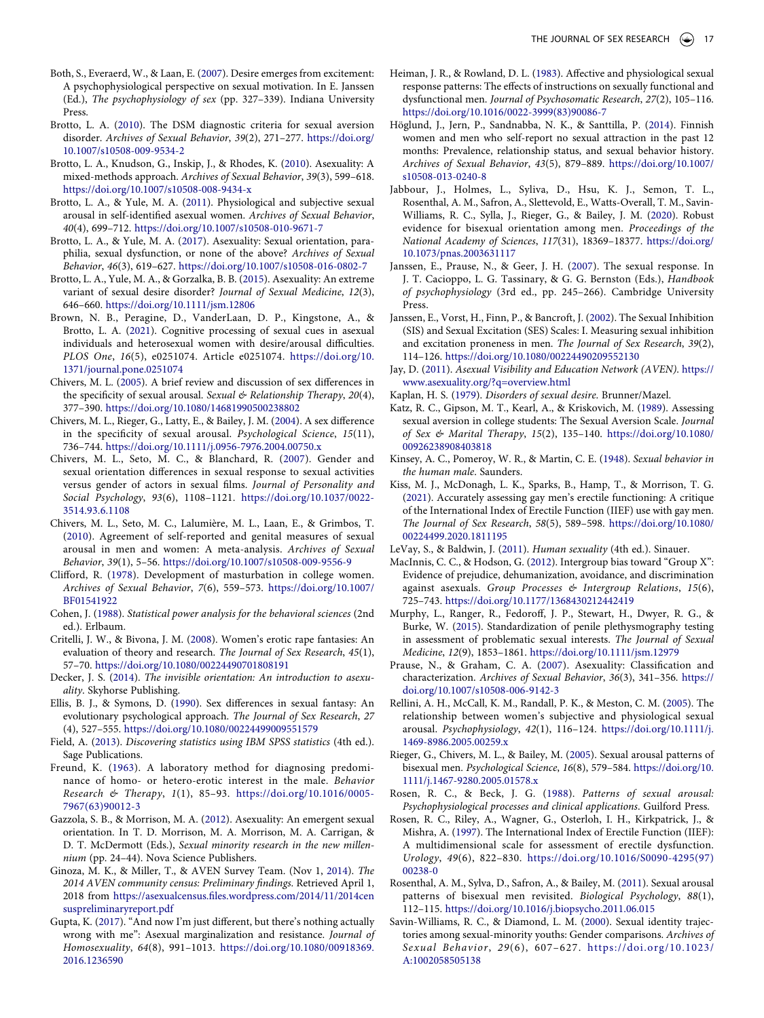- <span id="page-16-16"></span>Both, S., Everaerd, W., & Laan, E. [\(2007\)](#page-1-5). Desire emerges from excitement: A psychophysiological perspective on sexual motivation. In E. Janssen (Ed.), *The psychophysiology of sex* (pp. 327–339). Indiana University Press.
- <span id="page-16-10"></span>Brotto, L. A. ([2010](#page-1-6)). The DSM diagnostic criteria for sexual aversion disorder. *Archives of Sexual Behavior*, *39*(2), 271–277. [https://doi.org/](https://doi.org/10.1007/s10508-009-9534-2) [10.1007/s10508-009-9534-2](https://doi.org/10.1007/s10508-009-9534-2)
- <span id="page-16-1"></span>Brotto, L. A., Knudson, G., Inskip, J., & Rhodes, K. [\(2010\)](#page-0-10). Asexuality: A mixed-methods approach. *Archives of Sexual Behavior*, *39*(3), 599–618. <https://doi.org/10.1007/s10508-008-9434-x>
- <span id="page-16-26"></span>Brotto, L. A., & Yule, M. A. ([2011\)](#page-2-3). Physiological and subjective sexual arousal in self-identified asexual women. *Archives of Sexual Behavior*, *40*(4), 699–712. <https://doi.org/10.1007/s10508-010-9671-7>
- <span id="page-16-2"></span>Brotto, L. A., & Yule, M. A. [\(2017\)](#page-0-11). Asexuality: Sexual orientation, paraphilia, sexual dysfunction, or none of the above? *Archives of Sexual Behavior*, *46*(3), 619–627. <https://doi.org/10.1007/s10508-016-0802-7>
- <span id="page-16-11"></span>Brotto, L. A., Yule, M. A., & Gorzalka, B. B. ([2015](#page-1-7)). Asexuality: An extreme variant of sexual desire disorder? *Journal of Sexual Medicine*, *12*(3), 646–660. <https://doi.org/10.1111/jsm.12806>
- <span id="page-16-38"></span>Brown, N. B., Peragine, D., VanderLaan, D. P., Kingstone, A., & Brotto, L. A. ([2021](#page-14-0)). Cognitive processing of sexual cues in asexual individuals and heterosexual women with desire/arousal difficulties. *PLOS One*, *16*(5), e0251074. Article e0251074. [https://doi.org/10.](https://doi.org/10.1371/journal.pone.0251074) [1371/journal.pone.0251074](https://doi.org/10.1371/journal.pone.0251074)
- <span id="page-16-17"></span>Chivers, M. L. ([2005\)](#page-1-8). A brief review and discussion of sex differences in the specificity of sexual arousal. *Sexual & Relationship Therapy*, *20*(4), 377–390. <https://doi.org/10.1080/14681990500238802>
- <span id="page-16-20"></span>Chivers, M. L., Rieger, G., Latty, E., & Bailey, J. M. ([2004](#page-2-4)). A sex difference in the specificity of sexual arousal. *Psychological Science*, *15*(11), 736–744. <https://doi.org/10.1111/j.0956-7976.2004.00750.x>
- <span id="page-16-24"></span>Chivers, M. L., Seto, M. C., & Blanchard, R. [\(2007](#page-2-5)). Gender and sexual orientation differences in sexual response to sexual activities versus gender of actors in sexual films. *Journal of Personality and Social Psychology*, *93*(6), 1108–1121. [https://doi.org/10.1037/0022-](https://doi.org/10.1037/0022-3514.93.6.1108) [3514.93.6.1108](https://doi.org/10.1037/0022-3514.93.6.1108)
- <span id="page-16-25"></span>Chivers, M. L., Seto, M. C., Lalumière, M. L., Laan, E., & Grimbos, T. ([2010\)](#page-2-5). Agreement of self-reported and genital measures of sexual arousal in men and women: A meta-analysis. *Archives of Sexual Behavior*, *39*(1), 5–56. <https://doi.org/10.1007/s10508-009-9556-9>
- <span id="page-16-8"></span>Clifford, R. [\(1978](#page-1-3)). Development of masturbation in college women. *Archives of Sexual Behavior*, *7*(6), 559–573. [https://doi.org/10.1007/](https://doi.org/10.1007/BF01541922) [BF01541922](https://doi.org/10.1007/BF01541922)
- <span id="page-16-35"></span>Cohen, J. ([1988\)](#page-7-1). *Statistical power analysis for the behavioral sciences* (2nd ed.). Erlbaum.
- <span id="page-16-9"></span>Critelli, J. W., & Bivona, J. M. [\(2008\)](#page-1-3). Women's erotic rape fantasies: An evaluation of theory and research. *The Journal of Sex Research*, *45*(1), 57–70. <https://doi.org/10.1080/00224490701808191>
- <span id="page-16-3"></span>Decker, J. S. ([2014](#page-0-12)). *The invisible orientation: An introduction to asexuality*. Skyhorse Publishing.
- <span id="page-16-7"></span>Ellis, B. J., & Symons, D. ([1990](#page-1-9)). Sex differences in sexual fantasy: An evolutionary psychological approach. *The Journal of Sex Research*, *27*  (4), 527–555.<https://doi.org/10.1080/00224499009551579>
- <span id="page-16-36"></span>Field, A. ([2013](#page-7-2)). *Discovering statistics using IBM SPSS statistics* (4th ed.). Sage Publications.
- <span id="page-16-37"></span>Freund, K. [\(1963](#page-13-1)). A laboratory method for diagnosing predominance of homo- or hetero-erotic interest in the male. *Behavior Research & Therapy*, *1*(1), 85–93. [https://doi.org/10.1016/0005-](https://doi.org/10.1016/0005-7967(63)90012-3) [7967\(63\)90012-3](https://doi.org/10.1016/0005-7967(63)90012-3)
- <span id="page-16-39"></span>Gazzola, S. B., & Morrison, M. A. [\(2012\)](#page-14-1). Asexuality: An emergent sexual orientation. In T. D. Morrison, M. A. Morrison, M. A. Carrigan, & D. T. McDermott (Eds.), *Sexual minority research in the new millennium* (pp. 24–44). Nova Science Publishers.
- <span id="page-16-40"></span>Ginoza, M. K., & Miller, T., & AVEN Survey Team. (Nov 1, [2014](#page-14-2)). *The 2014 AVEN community census: Preliminary findings*. Retrieved April 1, 2018 from [https://asexualcensus.files.wordpress.com/2014/11/2014cen](https://asexualcensus.files.wordpress.com/2014/11/2014censuspreliminaryreport.pdf)  [suspreliminaryreport.pdf](https://asexualcensus.files.wordpress.com/2014/11/2014censuspreliminaryreport.pdf)
- <span id="page-16-12"></span>Gupta, K. ([2017](#page-1-10)). "And now I'm just different, but there's nothing actually wrong with me": Asexual marginalization and resistance. *Journal of Homosexuality*, *64*(8), 991–1013. [https://doi.org/10.1080/00918369.](https://doi.org/10.1080/00918369.2016.1236590) [2016.1236590](https://doi.org/10.1080/00918369.2016.1236590)
- <span id="page-16-31"></span>Heiman, J. R., & Rowland, D. L. ([1983](#page-4-2)). Affective and physiological sexual response patterns: The effects of instructions on sexually functional and dysfunctional men. *Journal of Psychosomatic Research*, *27*(2), 105–116. [https://doi.org/10.1016/0022-3999\(83\)90086-7](https://doi.org/10.1016/0022-3999(83)90086-7)
- <span id="page-16-4"></span>Höglund, J., Jern, P., Sandnabba, N. K., & Santtilla, P. [\(2014\)](#page-0-4). Finnish women and men who self-report no sexual attraction in the past 12 months: Prevalence, relationship status, and sexual behavior history. *Archives of Sexual Behavior*, *43*(5), 879–889. [https://doi.org/10.1007/](https://doi.org/10.1007/s10508-013-0240-8) [s10508-013-0240-8](https://doi.org/10.1007/s10508-013-0240-8)
- <span id="page-16-21"></span>Jabbour, J., Holmes, L., Syliva, D., Hsu, K. J., Semon, T. L., Rosenthal, A. M., Safron, A., Slettevold, E., Watts-Overall, T. M., Savin-Williams, R. C., Sylla, J., Rieger, G., & Bailey, J. M. [\(2020](#page-2-6)). Robust evidence for bisexual orientation among men. *Proceedings of the National Academy of Sciences*, *117*(31), 18369–18377. [https://doi.org/](https://doi.org/10.1073/pnas.2003631117)  [10.1073/pnas.2003631117](https://doi.org/10.1073/pnas.2003631117)
- <span id="page-16-32"></span>Janssen, E., Prause, N., & Geer, J. H. [\(2007\)](#page-5-1). The sexual response. In J. T. Cacioppo, L. G. Tassinary, & G. G. Bernston (Eds.), *Handbook of psychophysiology* (3rd ed., pp. 245–266). Cambridge University Press.
- <span id="page-16-30"></span>Janssen, E., Vorst, H., Finn, P., & Bancroft, J. [\(2002\)](#page-4-3). The Sexual Inhibition (SIS) and Sexual Excitation (SES) Scales: I. Measuring sexual inhibition and excitation proneness in men. *The Journal of Sex Research*, *39*(2), 114–126. <https://doi.org/10.1080/00224490209552130>
- <span id="page-16-0"></span>Jay, D. ([2011](#page-0-13)). *Asexual Visibility and Education Network (AVEN)*. [https://](https://www.asexuality.org/?q=overview.html)  [www.asexuality.org/?q=overview.html](https://www.asexuality.org/?q=overview.html)
- <span id="page-16-15"></span>Kaplan, H. S. ([1979](#page-1-11)). *Disorders of sexual desire*. Brunner/Mazel.
- <span id="page-16-29"></span>Katz, R. C., Gipson, M. T., Kearl, A., & Kriskovich, M. [\(1989\)](#page-4-4). Assessing sexual aversion in college students: The Sexual Aversion Scale. *Journal of Sex & Marital Therapy*, *15*(2), 135–140. [https://doi.org/10.1080/](https://doi.org/10.1080/00926238908403818) [00926238908403818](https://doi.org/10.1080/00926238908403818)
- <span id="page-16-6"></span>Kinsey, A. C., Pomeroy, W. R., & Martin, C. E. ([1948](#page-0-14)). *Sexual behavior in the human male*. Saunders.
- <span id="page-16-28"></span>Kiss, M. J., McDonagh, L. K., Sparks, B., Hamp, T., & Morrison, T. G. ([2021](#page-4-5)). Accurately assessing gay men's erectile functioning: A critique of the International Index of Erectile Function (IIEF) use with gay men. *The Journal of Sex Research*, *58*(5), 589–598. [https://doi.org/10.1080/](https://doi.org/10.1080/00224499.2020.1811195) [00224499.2020.1811195](https://doi.org/10.1080/00224499.2020.1811195)
- <span id="page-16-5"></span>LeVay, S., & Baldwin, J. [\(2011\)](#page-0-15). *Human sexuality* (4th ed.). Sinauer.
- <span id="page-16-14"></span>MacInnis, C. C., & Hodson, G. [\(2012\)](#page-1-10). Intergroup bias toward "Group X": Evidence of prejudice, dehumanization, avoidance, and discrimination against asexuals. *Group Processes & Intergroup Relations*, *15*(6), 725–743. <https://doi.org/10.1177/1368430212442419>
- <span id="page-16-34"></span>Murphy, L., Ranger, R., Fedoroff, J. P., Stewart, H., Dwyer, R. G., & Burke, W. ([2015\)](#page-6-1). Standardization of penile plethysmography testing in assessment of problematic sexual interests. *The Journal of Sexual Medicine*, *12*(9), 1853–1861. <https://doi.org/10.1111/jsm.12979>
- <span id="page-16-13"></span>Prause, N., & Graham, C. A. ([2007\)](#page-1-12). Asexuality: Classification and characterization. *Archives of Sexual Behavior*, *36*(3), 341–356. [https://](https://doi.org/10.1007/s10508-006-9142-3)  [doi.org/10.1007/s10508-006-9142-3](https://doi.org/10.1007/s10508-006-9142-3)
- <span id="page-16-33"></span>Rellini, A. H., McCall, K. M., Randall, P. K., & Meston, C. M. [\(2005\)](#page-5-2). The relationship between women's subjective and physiological sexual arousal. *Psychophysiology*, *42*(1), 116–124. [https://doi.org/10.1111/j.](https://doi.org/10.1111/j.1469-8986.2005.00259.x) [1469-8986.2005.00259.x](https://doi.org/10.1111/j.1469-8986.2005.00259.x)
- <span id="page-16-22"></span>Rieger, G., Chivers, M. L., & Bailey, M. ([2005](#page-2-6)). Sexual arousal patterns of bisexual men. *Psychological Science*, *16*(8), 579–584. [https://doi.org/10.](https://doi.org/10.1111/j.1467-9280.2005.01578.x)  [1111/j.1467-9280.2005.01578.x](https://doi.org/10.1111/j.1467-9280.2005.01578.x)
- <span id="page-16-18"></span>Rosen, R. C., & Beck, J. G. [\(1988\)](#page-2-7). *Patterns of sexual arousal: Psychophysiological processes and clinical applications*. Guilford Press.
- <span id="page-16-27"></span>Rosen, R. C., Riley, A., Wagner, G., Osterloh, I. H., Kirkpatrick, J., & Mishra, A. [\(1997\)](#page-4-6). The International Index of Erectile Function (IIEF): A multidimensional scale for assessment of erectile dysfunction. *Urology*, *49*(6), 822–830. [https://doi.org/10.1016/S0090-4295\(97\)](https://doi.org/10.1016/S0090-4295(97)00238-0) [00238-0](https://doi.org/10.1016/S0090-4295(97)00238-0)
- <span id="page-16-23"></span>Rosenthal, A. M., Sylva, D., Safron, A., & Bailey, M. [\(2011](#page-2-8)). Sexual arousal patterns of bisexual men revisited. *Biological Psychology*, *88*(1), 112–115. <https://doi.org/10.1016/j.biopsycho.2011.06.015>
- <span id="page-16-19"></span>Savin-Williams, R. C., & Diamond, L. M. ([2000\)](#page-2-9). Sexual identity trajectories among sexual-minority youths: Gender comparisons. *Archives of Sexual Behavior*, *29*(6), 607–627. [https://doi.org/10.1023/](https://doi.org/10.1023/A:1002058505138)  [A:1002058505138](https://doi.org/10.1023/A:1002058505138)